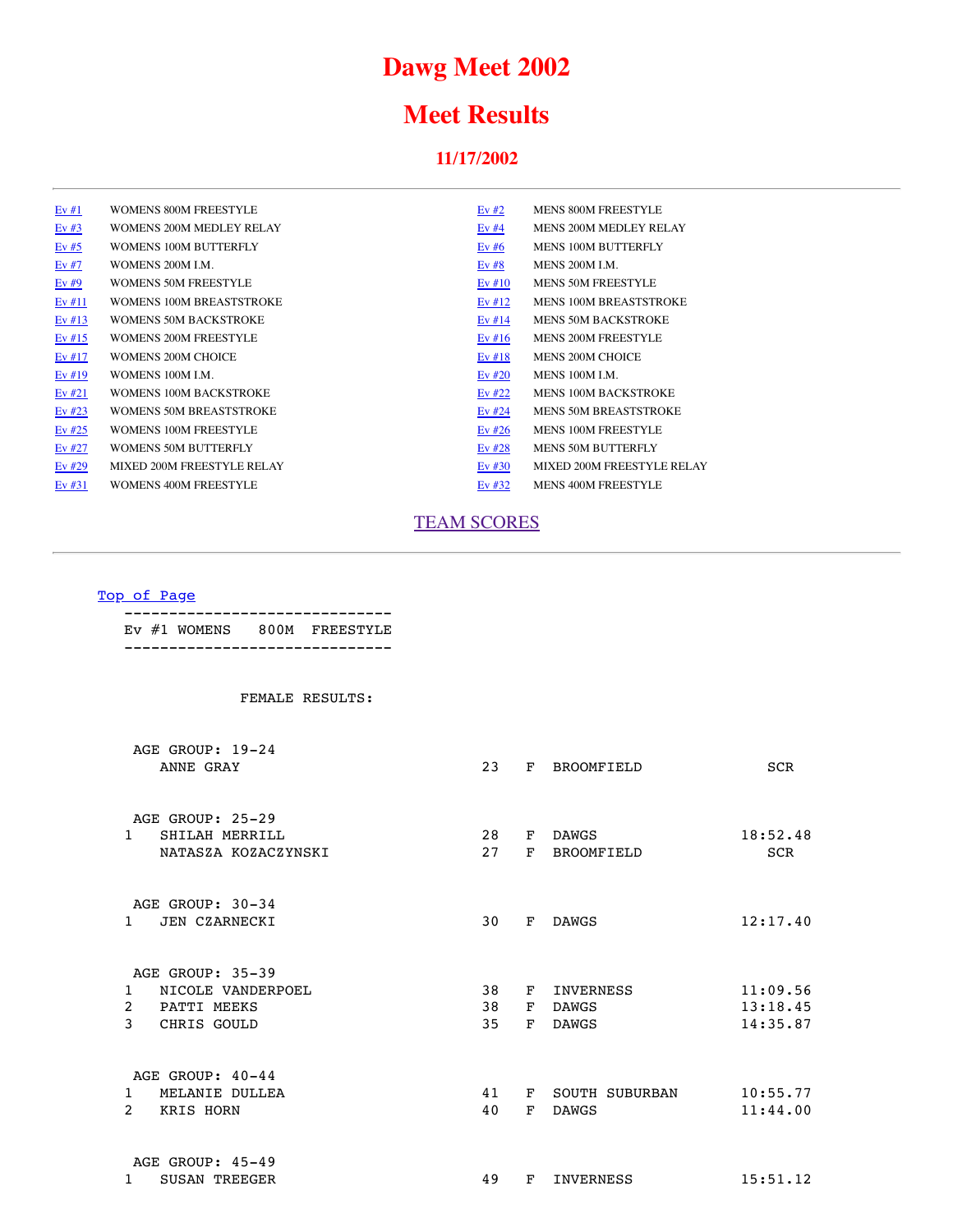# **Dawg Meet 2002**

## **Meet Results**

### **11/17/2002**

<span id="page-0-1"></span>

| Ev#1     | WOMENS 800M FREESTYLE          | Ev $#2$  | <b>MENS 800M FREESTYLE</b>    |
|----------|--------------------------------|----------|-------------------------------|
| Ev#3     | WOMENS 200M MEDLEY RELAY       | Ev#4     | MENS 200M MEDLEY RELAY        |
| Ev $#5$  | WOMENS 100M BUTTERFLY          | Ev# $6$  | MENS 100M BUTTERFLY           |
| Ev#7     | WOMENS 200M LM.                | Ev#8     | MENS 200M LM.                 |
| Ev#9     | <b>WOMENS 50M FREESTYLE</b>    | Ev #10   | <b>MENS 50M FREESTYLE</b>     |
| Ev#11    | WOMENS 100M BREASTSTROKE       | Ev $#12$ | <b>MENS 100M BREASTSTROKE</b> |
| Ev $#13$ | <b>WOMENS 50M BACKSTROKE</b>   | Ev $#14$ | <b>MENS 50M BACKSTROKE</b>    |
| Ev $#15$ | <b>WOMENS 200M FREESTYLE</b>   | Ev #16   | <b>MENS 200M FREESTYLE</b>    |
| Ev#17    | WOMENS 200M CHOICE             | Ev#18    | <b>MENS 200M CHOICE</b>       |
| Ev# $19$ | WOMENS 100M LM.                | Ev $#20$ | MENS 100M LM.                 |
| Ev $#21$ | <b>WOMENS 100M BACKSTROKE</b>  | Ev $#22$ | <b>MENS 100M BACKSTROKE</b>   |
| Ev $#23$ | <b>WOMENS 50M BREASTSTROKE</b> | Ev $#24$ | <b>MENS 50M BREASTSTROKE</b>  |
| Ev $#25$ | WOMENS 100M FREESTYLE          | Ev #26   | <b>MENS 100M FREESTYLE</b>    |
| Ev $#27$ | WOMENS 50M BUTTERFLY           | Ev $#28$ | MENS 50M BUTTERFLY            |
| Ev#29    | MIXED 200M FREESTYLE RELAY     | Ev $#30$ | MIXED 200M FREESTYLE RELAY    |
| Ev#31    | WOMENS 400M FREESTYLE          | Ev $#32$ | <b>MENS 400M FREESTYLE</b>    |
|          |                                |          |                               |

### [TEAM SCORES](#page-22-0)

### [Top of Page](#page-0-1)

<span id="page-0-0"></span>

|  | EV #1 WOMENS 800M FREESTYLE |
|--|-----------------------------|
|  |                             |

| AGE GROUP: 19-24<br>ANNE GRAY      | 23                                                                                     | F        | <b>BROOMFIELD</b> | <b>SCR</b>                       |
|------------------------------------|----------------------------------------------------------------------------------------|----------|-------------------|----------------------------------|
| AGE GROUP: 25-29                   |                                                                                        |          |                   |                                  |
| SHILAH MERRILL<br>$\mathbf{1}$     | 28                                                                                     | F        | <b>DAWGS</b>      | 18:52.48                         |
| NATASZA KOZACZYNSKI                | 27                                                                                     | F        | <b>BROOMFIELD</b> | <b>SCR</b>                       |
| AGE GROUP: 30-34                   |                                                                                        |          |                   |                                  |
| JEN CZARNECKI<br>$\mathbf{1}$      | 30                                                                                     | F        | <b>DAWGS</b>      | 12:17.40                         |
|                                    |                                                                                        |          |                   |                                  |
|                                    |                                                                                        |          |                   | 11:09.56                         |
|                                    |                                                                                        |          |                   | 13:18.45                         |
| 3<br>CHRIS GOULD                   | 35                                                                                     | F        | <b>DAWGS</b>      | 14:35.87                         |
| AGE GROUP: 40-44                   |                                                                                        |          |                   |                                  |
| MELANIE DULLEA<br>$\mathbf{1}$     | 41                                                                                     | F        | SOUTH SUBURBAN    | 10:55.77                         |
| $\overline{2}$<br><b>KRIS HORN</b> | 40                                                                                     | F        | <b>DAWGS</b>      | 11:44.00                         |
| AGE GROUP: 45-49                   |                                                                                        |          |                   |                                  |
| <b>SUSAN TREEGER</b><br>1          | 49                                                                                     | F        | INVERNESS         | 15:51.12                         |
|                                    | AGE GROUP: 35-39<br>NICOLE VANDERPOEL<br>$\mathbf{1}$<br>$\overline{2}$<br>PATTI MEEKS | 38<br>38 | F<br>F            | <b>INVERNESS</b><br><b>DAWGS</b> |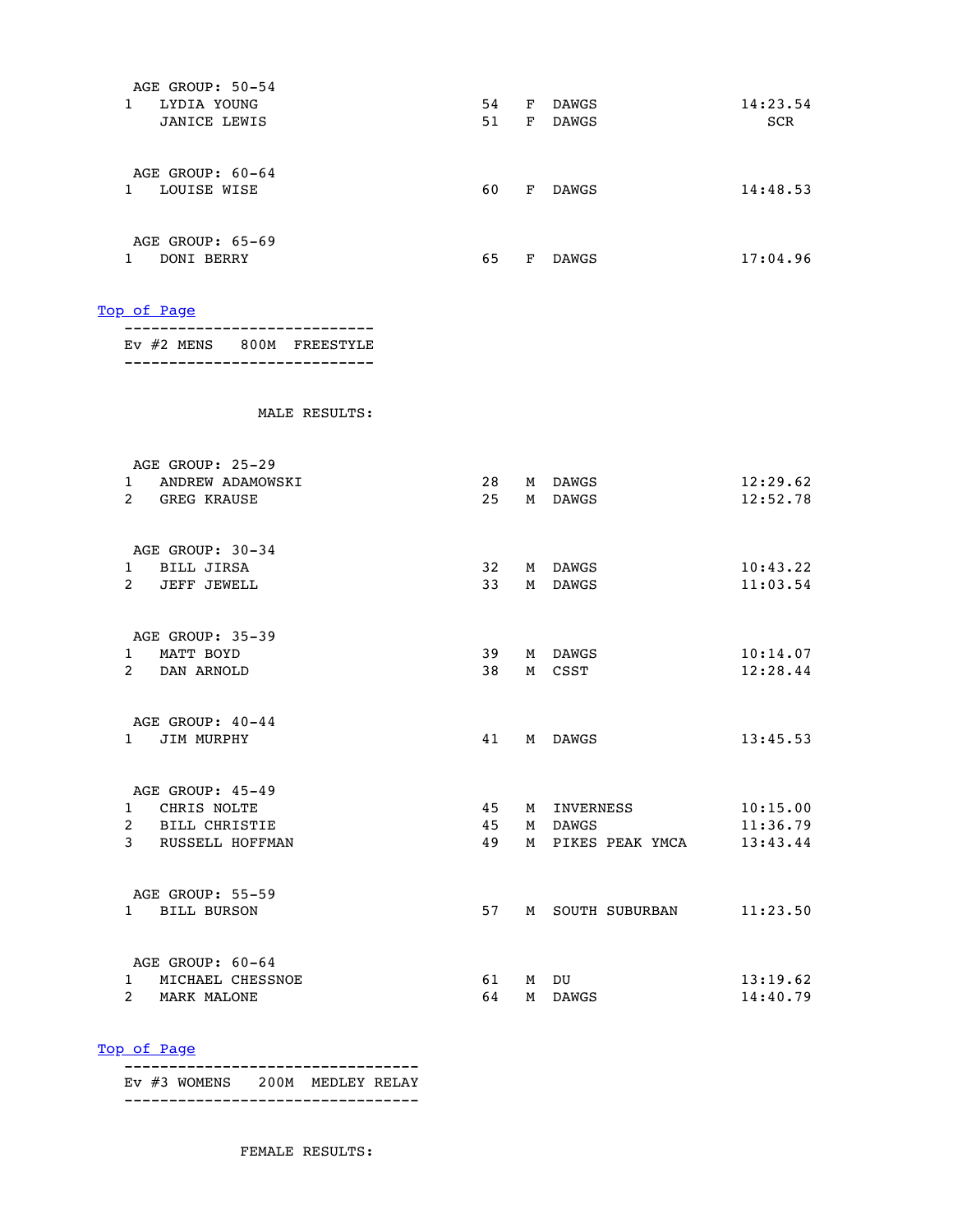| AGE GROUP: 50-54                   |      |   |                   |          |
|------------------------------------|------|---|-------------------|----------|
| 1 LYDIA YOUNG                      |      |   | 54 F DAWGS        | 14:23.54 |
| JANICE LEWIS                       |      |   | 51 F DAWGS        | SCR      |
|                                    |      |   |                   |          |
| AGE GROUP: 60-64                   |      |   |                   |          |
| 1 LOUISE WISE                      | 60 — |   | F DAWGS           | 14:48.53 |
|                                    |      |   |                   |          |
| AGE GROUP: 65-69                   |      |   |                   |          |
| 1 DONI BERRY                       |      |   | 65 F DAWGS        | 17:04.96 |
|                                    |      |   |                   |          |
| Top of Page                        |      |   |                   |          |
| EV #2 MENS 800M FREESTYLE          |      |   |                   |          |
|                                    |      |   |                   |          |
| MALE RESULTS:                      |      |   |                   |          |
| AGE GROUP: 25-29                   |      |   |                   |          |
| 1 ANDREW ADAMOWSKI                 |      |   | 28 M DAWGS        | 12:29.62 |
| 2 GREG KRAUSE                      |      |   | 25 M DAWGS        | 12:52.78 |
|                                    |      |   |                   |          |
| AGE GROUP: 30-34                   |      |   |                   |          |
| 1 BILL JIRSA                       | 32   |   | M DAWGS           | 10:43.22 |
| 2 JEFF JEWELL                      | 33   |   | M DAWGS           | 11:03.54 |
| AGE GROUP: 35-39                   |      |   |                   |          |
| 1 MATT BOYD                        | 39   |   | M DAWGS           | 10:14.07 |
| 2 DAN ARNOLD                       |      |   | 38 M CSST         | 12:28.44 |
|                                    |      |   |                   |          |
| AGE GROUP: 40-44                   |      |   |                   |          |
| 1 JIM MURPHY                       | 41   |   | M DAWGS           | 13:45.53 |
|                                    |      |   |                   |          |
| AGE GROUP: 45-49                   |      |   |                   |          |
| CHRIS NOLTE<br>1                   | 45   | М | INVERNESS         | 10:15.00 |
| $\overline{a}$<br>BILL CHRISTIE    | 45   | М | DAWGS             | 11:36.79 |
| 3<br>RUSSELL HOFFMAN               | 49   |   | M PIKES PEAK YMCA | 13:43.44 |
| AGE GROUP: 55-59                   |      |   |                   |          |
| <b>BILL BURSON</b><br>$\mathbf{1}$ | 57   |   | M SOUTH SUBURBAN  | 11:23.50 |
| AGE GROUP: 60-64                   |      |   |                   |          |
| MICHAEL CHESSNOE<br>1              | 61   |   | M DU              | 13:19.62 |
| $\mathbf{2}$<br>MARK MALONE        | 64   |   | M DAWGS           | 14:40.79 |
|                                    |      |   |                   |          |

 --------------------------------- Ev #3 WOMENS 200M MEDLEY RELAY ---------------------------------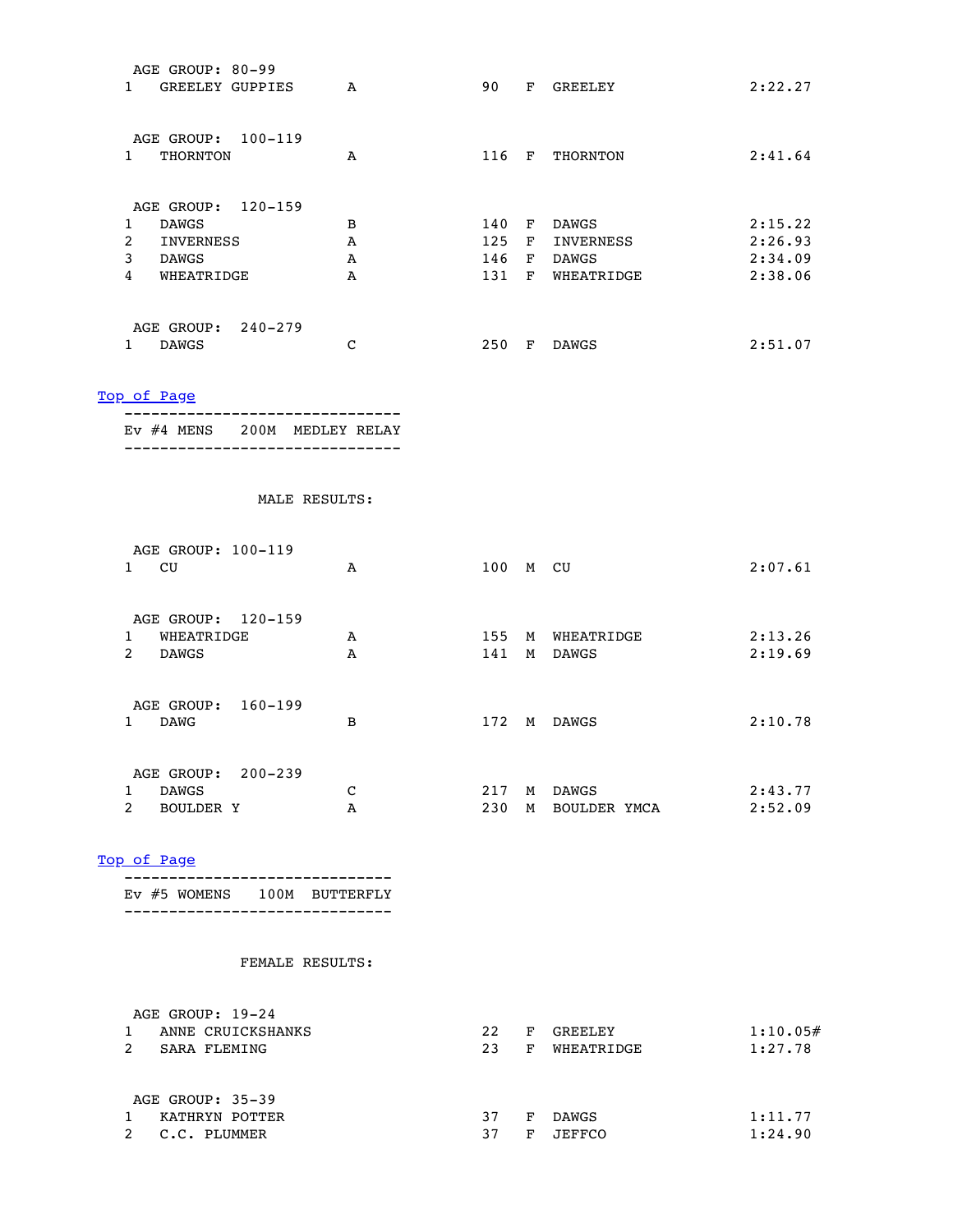| AGE GROUP: 80-99<br>1 GREELEY GUPPIES       | $\mathbf{A}$  | 90       | F GREELEY        | 2:22.27            |
|---------------------------------------------|---------------|----------|------------------|--------------------|
| AGE GROUP: 100-119                          |               |          |                  |                    |
| 1 THORNTON                                  | A             |          | 116 F THORNTON   | 2:41.64            |
| AGE GROUP: 120-159                          |               |          |                  |                    |
| 1 DAWGS                                     | B             |          | 140 F DAWGS      | 2:15.22            |
| 2 INVERNESS                                 | $\mathbf{A}$  |          | 125 F INVERNESS  | 2:26.93            |
| 3 DAWGS                                     | $\mathbf{A}$  |          | 146 F DAWGS      | 2:34.09            |
| 4 WHEATRIDGE                                | $\mathbf{A}$  |          | 131 F WHEATRIDGE | 2:38.06            |
| AGE GROUP: 240-279                          |               |          |                  |                    |
| 1 DAWGS                                     | C             |          | 250 F DAWGS      | 2:51.07            |
| Top of Page<br>EV #4 MENS 200M MEDLEY RELAY |               |          |                  |                    |
|                                             |               |          |                  |                    |
|                                             | MALE RESULTS: |          |                  |                    |
| AGE GROUP: 100-119                          |               |          |                  |                    |
| 1 CU                                        | A             | 100 M CU |                  | 2:07.61            |
| AGE GROUP: 120-159                          |               |          |                  |                    |
| 1 WHEATRIDGE                                | A             |          | 155 M WHEATRIDGE |                    |
| 2 DAWGS                                     | $\mathbf{A}$  |          | 141 M DAWGS      | 2:13.26<br>2:19.69 |
| AGE GROUP: 160-199                          |               |          |                  |                    |
| 1 DAWG                                      | в             |          | 172 M DAWGS      |                    |
|                                             |               |          |                  |                    |
| AGE GROUP: 200-239<br>$\mathbf{1}$<br>DAWGS | С             | 217      | M DAWGS          | 2:10.78<br>2:43.77 |

 ------------------------------ Ev #5 WOMENS 100M BUTTERFLY ------------------------------

| AGE GROUP: 19-24  |    |   |               |          |
|-------------------|----|---|---------------|----------|
| ANNE CRUICKSHANKS | 22 | F | GREELEY       | 1:10.05# |
| SARA FLEMING      | 23 | F | WHEATRIDGE    | 1:27.78  |
|                   |    |   |               |          |
| AGE GROUP: 35-39  |    |   |               |          |
| KATHRYN POTTER    | 37 | F | DAWGS         | 1:11.77  |
| C.C. PLUMMER      | 37 | F | <b>JEFFCO</b> | 1:24.90  |
|                   |    |   |               |          |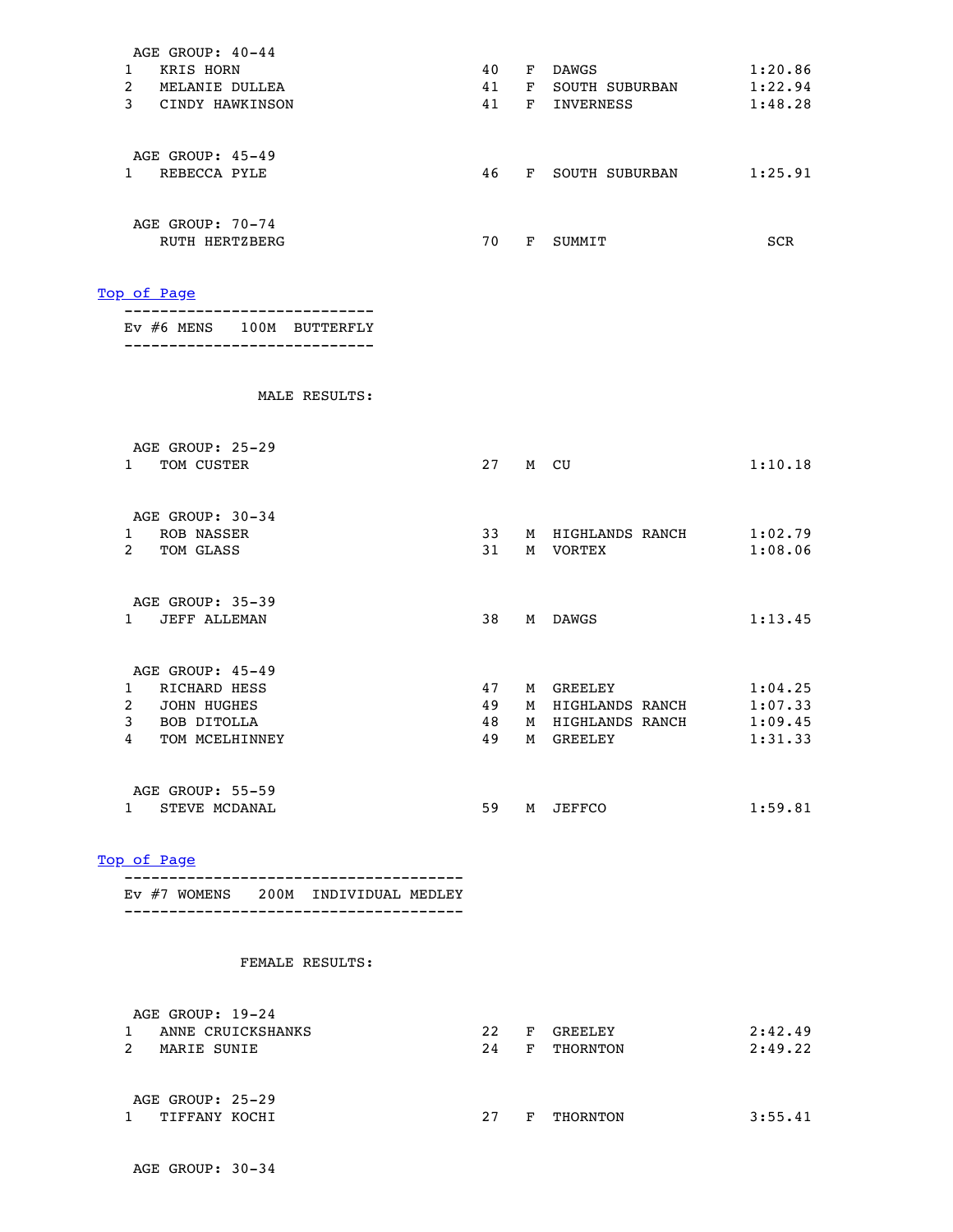| AGE GROUP: 40-44                                                        |    |                      |         |
|-------------------------------------------------------------------------|----|----------------------|---------|
| 1 KRIS HORN                                                             | 40 | F DAWGS              | 1:20.86 |
| 2 MELANIE DULLEA                                                        |    | 41 F SOUTH SUBURBAN  | 1:22.94 |
| 3 CINDY HAWKINSON                                                       |    | 41 F INVERNESS       | 1:48.28 |
| AGE GROUP: 45-49                                                        |    |                      |         |
| 1 REBECCA PYLE                                                          |    | 46 F SOUTH SUBURBAN  | 1:25.91 |
| AGE GROUP: 70-74                                                        |    |                      |         |
| RUTH HERTZBERG                                                          |    | 70 F SUMMIT          | SCR     |
| Top of Page                                                             |    |                      |         |
| ---------<br>EV #6 MENS 100M BUTTERFLY<br>----------------------------- |    |                      |         |
| MALE RESULTS:                                                           |    |                      |         |
| AGE GROUP: 25-29                                                        |    |                      |         |
| 1 TOM CUSTER                                                            |    | 27 M CU              | 1:10.18 |
| AGE GROUP: 30-34                                                        |    |                      |         |
| 1 ROB NASSER                                                            |    | 33 M HIGHLANDS RANCH | 1:02.79 |
| 2 TOM GLASS                                                             | 31 | M VORTEX             | 1:08.06 |
| AGE GROUP: 35-39                                                        |    |                      |         |
| 1 JEFF ALLEMAN                                                          |    | 38 M DAWGS           | 1:13.45 |
| AGE GROUP: 45-49                                                        |    |                      |         |
| 1 RICHARD HESS                                                          | 47 | M GREELEY            | 1:04.25 |
| 2 JOHN HUGHES                                                           | 49 | M HIGHLANDS RANCH    | 1:07.33 |
| 3 BOB DITOLLA                                                           | 48 | M HIGHLANDS RANCH    | 1:09.45 |
| 4 TOM MCELHINNEY                                                        | 49 | M GREELEY            | 1:31.33 |
| AGE GROUP: 55-59                                                        |    |                      |         |
| 1 STEVE MCDANAL                                                         |    | 59 M JEFFCO          | 1:59.81 |

 -------------------------------------- Ev #7 WOMENS 200M INDIVIDUAL MEDLEY --------------------------------------

| AGE GROUP: 19-24                  |    |   |          |         |
|-----------------------------------|----|---|----------|---------|
| ANNE CRUICKSHANKS                 | 22 | F | GREELEY  | 2:42.49 |
| MARIE SUNIE                       | 24 | F | THORNTON | 2:49.22 |
| AGE GROUP: 25-29<br>TIFFANY KOCHI | 27 | F | THORNTON | 3:55.41 |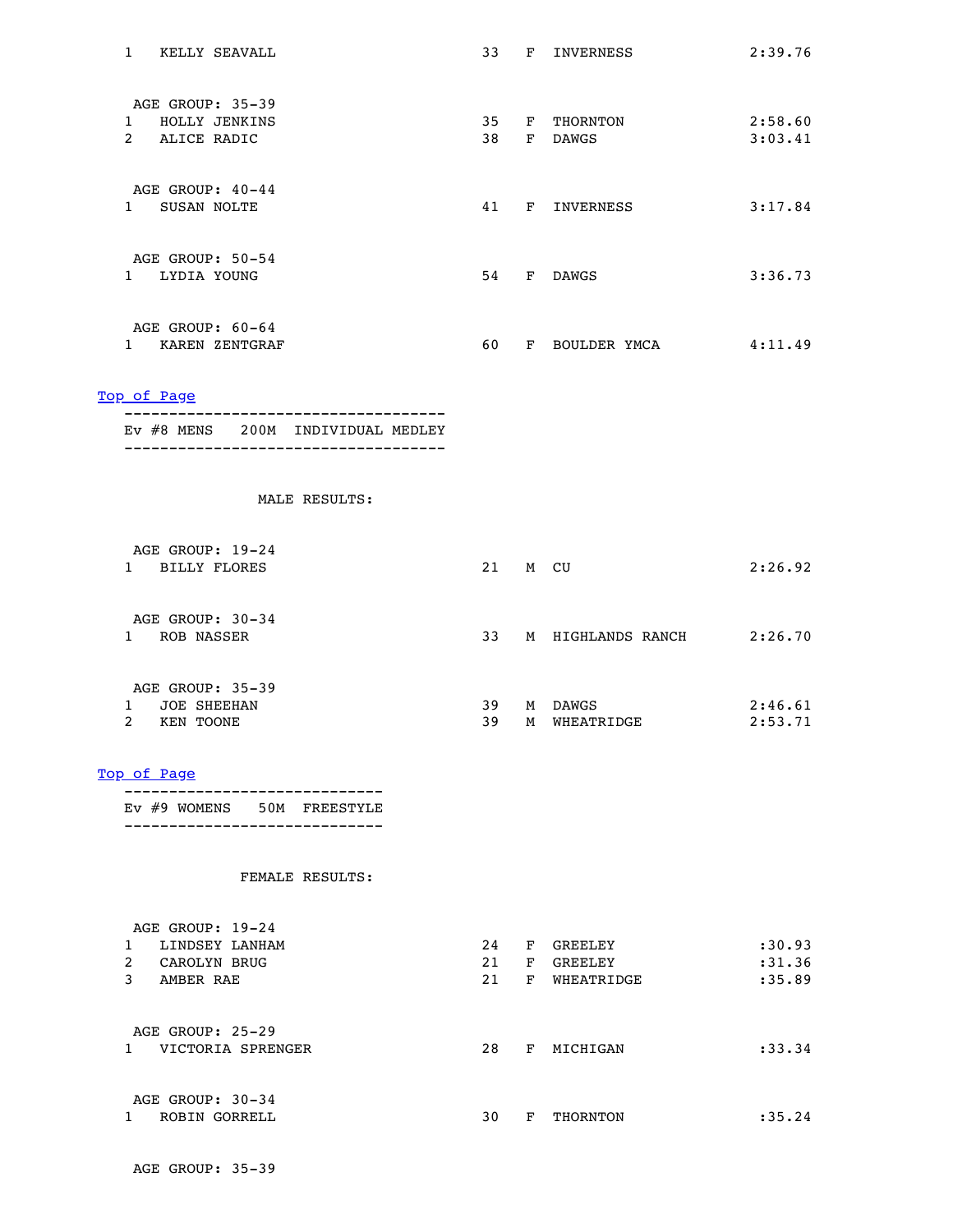| 1 KELLY SEAVALL                                                                                                  |  | 33 F INVERNESS            | 2:39.76 |
|------------------------------------------------------------------------------------------------------------------|--|---------------------------|---------|
| AGE GROUP: 35-39                                                                                                 |  |                           |         |
| 1 HOLLY JENKINS                                                                                                  |  | 35 F THORNTON             | 2:58.60 |
| 2 ALICE RADIC                                                                                                    |  | 38 F DAWGS                | 3:03.41 |
| AGE GROUP: 40-44                                                                                                 |  |                           |         |
| 1 SUSAN NOLTE                                                                                                    |  | 41 F INVERNESS            | 3:17.84 |
| AGE GROUP: 50-54                                                                                                 |  |                           |         |
| 1 LYDIA YOUNG                                                                                                    |  | 54 F DAWGS                | 3:36.73 |
| AGE GROUP: 60-64                                                                                                 |  |                           |         |
| 1 KAREN ZENTGRAF                                                                                                 |  | 60 F BOULDER YMCA 4:11.49 |         |
| Top of Page                                                                                                      |  |                           |         |
| ---------------------------------<br>EV #8 MENS 200M INDIVIDUAL MEDLEY<br>______________________________________ |  |                           |         |
|                                                                                                                  |  |                           |         |
| MALE RESULTS:                                                                                                    |  |                           |         |
| AGE GROUP: 19-24                                                                                                 |  |                           |         |
| 1 BILLY FLORES                                                                                                   |  | 21 M CU                   | 2:26.92 |
| AGE GROUP: 30-34                                                                                                 |  |                           |         |
| 1 ROB NASSER                                                                                                     |  | 33 M HIGHLANDS RANCH      | 2:26.70 |
| AGE GROUP: 35-39                                                                                                 |  |                           |         |
| 1 JOE SHEEHAN                                                                                                    |  | 39 M DAWGS                | 2:46.61 |
| 2 KEN TOONE                                                                                                      |  | 39 M WHEATRIDGE           | 2:53.71 |
| Top of Page                                                                                                      |  |                           |         |
| EV #9 WOMENS 50M FREESTYLE<br>______________________________                                                     |  |                           |         |
| FEMALE RESULTS:                                                                                                  |  |                           |         |
|                                                                                                                  |  |                           |         |
| AGE GROUP: 19-24<br>1 LINDSEY LANHAM                                                                             |  | 24 F GREELEY              | : 30.93 |
| 2 CAROLYN BRUG                                                                                                   |  | 21 F GREELEY              | : 31.36 |
| 3 AMBER RAE                                                                                                      |  | 21 F WHEATRIDGE           | :35.89  |
| AGE GROUP: 25-29                                                                                                 |  |                           |         |
| 1 VICTORIA SPRENGER                                                                                              |  | 28 F MICHIGAN             | : 33.34 |
| $20E$ CDOUD, $20.24$                                                                                             |  |                           |         |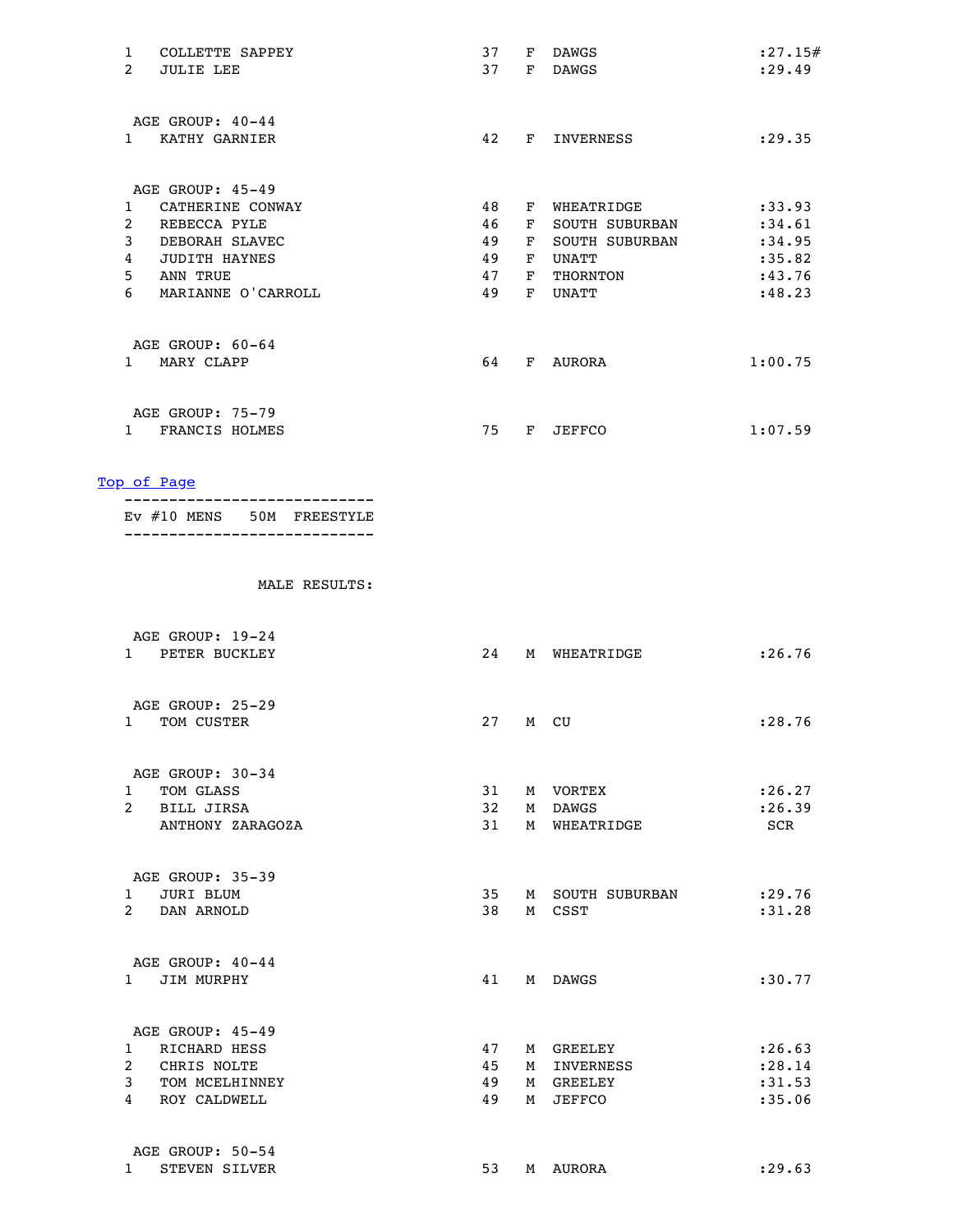| COLLETTE SAPPEY<br>1               | 37<br>F<br><b>DAWGS</b>          | : 27.15# |
|------------------------------------|----------------------------------|----------|
| $\overline{2}$<br><b>JULIE LEE</b> | 37<br><b>DAWGS</b><br>F          | : 29.49  |
|                                    |                                  |          |
| AGE GROUP: 40-44                   |                                  |          |
| KATHY GARNIER<br>$\mathbf{1}$      | 42<br>INVERNESS<br>F.            | : 29.35  |
|                                    |                                  |          |
| AGE GROUP: 45-49                   |                                  |          |
| CATHERINE CONWAY<br>1.             | 48<br>WHEATRIDGE<br>F            | : 33.93  |
| 2<br>REBECCA PYLE                  | 46<br><b>SOUTH SUBURBAN</b><br>F | : 34.61  |
| 3<br>DEBORAH SLAVEC                | 49<br><b>SOUTH SUBURBAN</b><br>F | :34.95   |
| <b>JUDITH HAYNES</b><br>4          | 49<br>UNATT<br>F                 | :35.82   |
| 5<br>ANN TRUE                      | 47<br>F<br>THORNTON              | : 43.76  |
| 6<br>MARIANNE O'CARROLL            | 49<br>UNATT<br>F                 | : 48.23  |
|                                    |                                  |          |
| AGE GROUP: 60-64                   |                                  |          |
| MARY CLAPP<br>$\mathbf{1}$         | 64<br>F<br>AURORA                | 1:00.75  |
|                                    |                                  |          |
| AGE GROUP: 75-79                   |                                  |          |
| FRANCIS HOLMES                     | 75<br><b>JEFFCO</b><br>F         | 1:07.59  |
|                                    |                                  |          |

|  |  | EV #10 MENS 50M FREESTYLE |
|--|--|---------------------------|
|  |  |                           |

|                | AGE GROUP: 19-24<br>1 PETER BUCKLEY                        | 24       |   | M WHEATRIDGE               | : 26.76           |
|----------------|------------------------------------------------------------|----------|---|----------------------------|-------------------|
|                | AGE GROUP: 25-29<br>TOM CUSTER<br>$1 \quad \Box$           | 27       |   | M CU                       | :28.76            |
|                | AGE GROUP: 30-34                                           |          |   |                            |                   |
|                | TOM GLASS<br>$\mathbf{1}$                                  | 31       |   | M VORTEX                   | : 26.27           |
|                | 2 BILL JIRSA                                               | 32       |   | M DAWGS                    | : 26.39           |
|                | ANTHONY ZARAGOZA                                           | 31       |   | M WHEATRIDGE               | SCR               |
|                | AGE GROUP: 35-39<br>JURI BLUM<br>$1 \quad$<br>2 DAN ARNOLD | 35<br>38 |   | M SOUTH SUBURBAN<br>M CSST | : 29.76<br>:31.28 |
|                | AGE GROUP: 40-44<br>JIM MURPHY<br>$1 \quad \blacksquare$   | 41       |   | M DAWGS                    | :30.77            |
|                | AGE GROUP: 45-49<br>1 RICHARD HESS                         | 47       |   | M GREELEY                  | : 26.63           |
| $\overline{2}$ | CHRIS NOLTE                                                | 45       |   | M INVERNESS                | :28.14            |
| 3              | TOM MCELHINNEY                                             | 49       |   | M GREELEY                  | :31.53            |
| $\overline{4}$ | <b>ROY CALDWELL</b>                                        | 49       | M | JEFFCO                     | :35.06            |
| $\mathbf{1}$   | AGE GROUP: 50-54<br><b>STEVEN SILVER</b>                   | 53       |   | M AURORA                   | : 29.63           |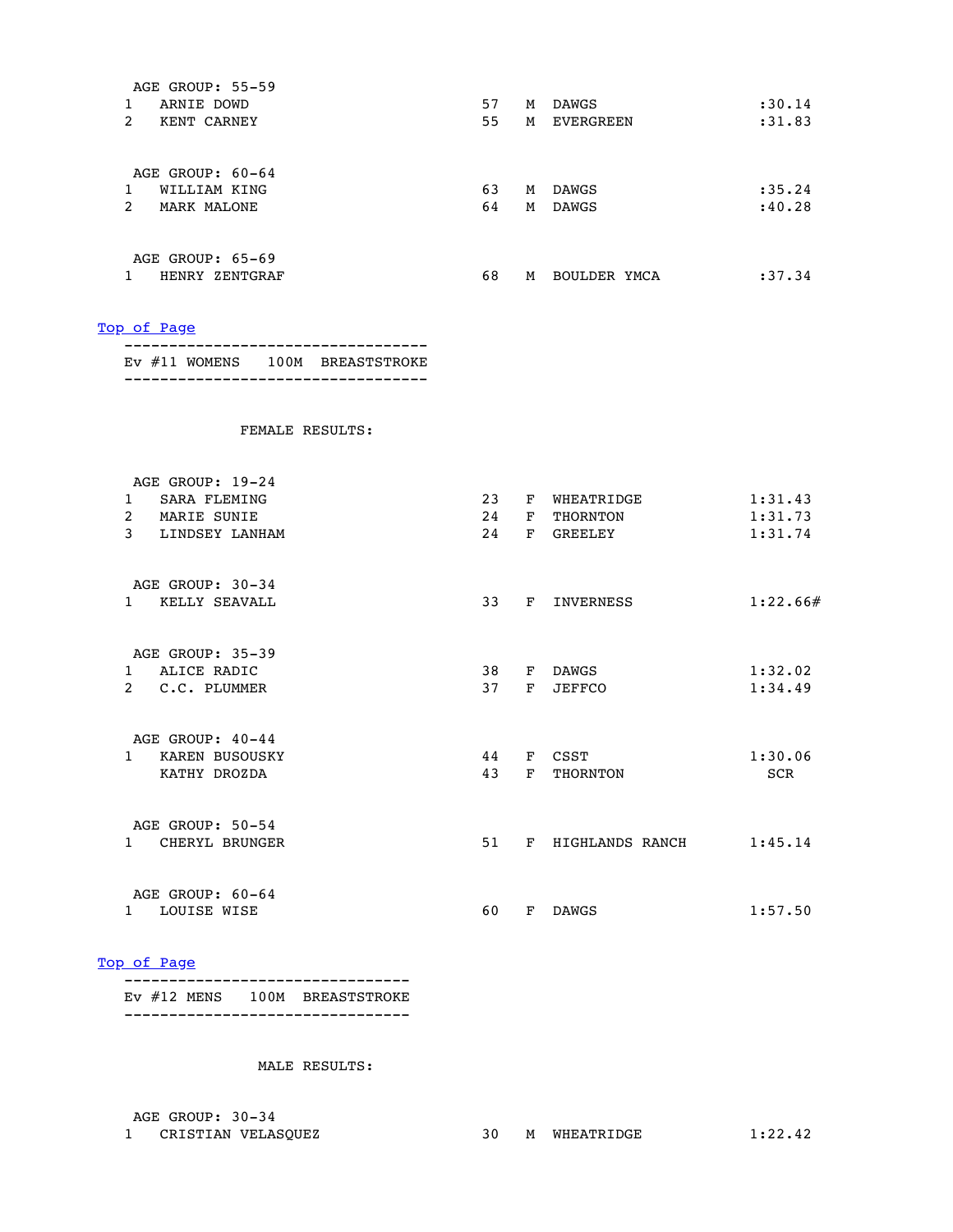| AGE GROUP: 55-59        |    |   |              |         |
|-------------------------|----|---|--------------|---------|
| ARNIE DOWD              | 57 | М | <b>DAWGS</b> | : 30.14 |
| 2<br>KENT CARNEY        | 55 | М | EVERGREEN    | :31.83  |
|                         |    |   |              |         |
| AGE GROUP: 60-64        |    |   |              |         |
| WILLIAM KING            | 63 | M | <b>DAWGS</b> | : 35.24 |
| 2<br><b>MARK MALONE</b> | 64 | м | <b>DAWGS</b> | :40.28  |
|                         |    |   |              |         |
| AGE GROUP: 65-69        |    |   |              |         |
| HENRY ZENTGRAF          | 68 | M | BOULDER YMCA | :37.34  |
|                         |    |   |              |         |

 ---------------------------------- Ev #11 WOMENS 100M BREASTSTROKE ----------------------------------

#### FEMALE RESULTS:

| AGE GROUP: 19-24                    |    |              |                 |            |
|-------------------------------------|----|--------------|-----------------|------------|
| <b>SARA FLEMING</b><br>$\mathbf{1}$ | 23 | F            | WHEATRIDGE      | 1:31.43    |
| $\overline{2}$<br>MARIE SUNIE       | 24 | F            | THORNTON        | 1:31.73    |
| 3<br>LINDSEY LANHAM                 | 24 | F            | <b>GREELEY</b>  | 1:31.74    |
|                                     |    |              |                 |            |
| AGE GROUP: 30-34                    |    |              |                 |            |
| KELLY SEAVALL<br>$\mathbf{1}$       | 33 | F.           | INVERNESS       | 1:22.66#   |
|                                     |    |              |                 |            |
| AGE GROUP: 35-39                    |    |              |                 |            |
| ALICE RADIC<br>$\mathbf{1}$         | 38 | F            | DAWGS           | 1:32.02    |
| $2^{\circ}$<br>C.C. PLUMMER         | 37 | F            | <b>JEFFCO</b>   | 1:34.49    |
|                                     |    |              |                 |            |
| AGE GROUP: $40-44$                  |    |              |                 |            |
| KAREN BUSOUSKY<br>$\mathbf{1}$      | 44 |              | F CSST          | 1:30.06    |
| KATHY DROZDA                        | 43 | F            | THORNTON        | <b>SCR</b> |
|                                     |    |              |                 |            |
| AGE GROUP: 50-54                    |    |              |                 |            |
| CHERYL BRUNGER<br>$\mathbf{1}$      | 51 | $\mathbf{F}$ | HIGHLANDS RANCH | 1:45.14    |
|                                     |    |              |                 |            |
| AGE GROUP: 60-64                    |    |              |                 |            |
| LOUISE WISE<br>$\mathbf{1}$         | 60 | F            | <b>DAWGS</b>    | 1:57.50    |
|                                     |    |              |                 |            |

### [Top of Page](#page-0-1)

|  | EV #12 MENS 100M BREASTSTROKE |
|--|-------------------------------|
|  |                               |

#### MALE RESULTS:

AGE GROUP: 30-34<br>1 CRISTIAN VELASQUEZ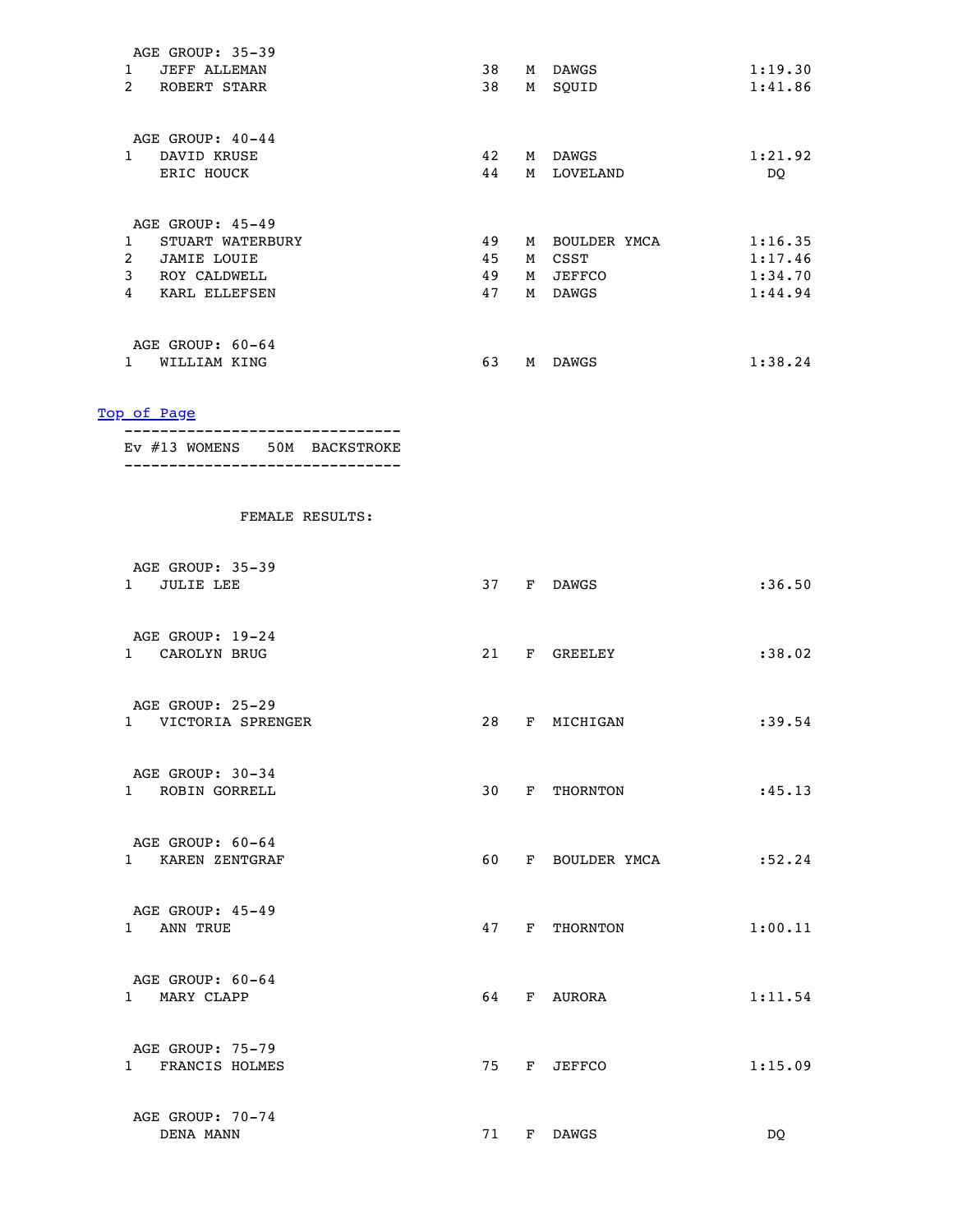| 1<br>$\overline{2}$ | AGE GROUP: 35-39<br><b>JEFF ALLEMAN</b><br>ROBERT STARR | 38<br>38 | M<br>м | <b>DAWGS</b><br>SQUID | 1:19.30<br>1:41.86 |
|---------------------|---------------------------------------------------------|----------|--------|-----------------------|--------------------|
|                     | AGE GROUP: 40-44                                        |          |        |                       |                    |
| 1                   | DAVID KRUSE                                             | 42       | М      | <b>DAWGS</b>          | 1:21.92            |
|                     | ERIC HOUCK                                              | 44       | М      | LOVELAND              | DQ                 |
|                     | AGE GROUP: 45-49                                        |          |        |                       |                    |
| 1                   | STUART WATERBURY                                        | 49       | М      | BOULDER YMCA          | 1:16.35            |
| $\overline{2}$      | <b>JAMIE LOUIE</b>                                      | 45       | М      | CSST                  | 1:17.46            |
| 3                   | ROY CALDWELL                                            | 49       | М      | <b>JEFFCO</b>         | 1:34.70            |
| 4                   | KARL ELLEFSEN                                           | 47       | М      | <b>DAWGS</b>          | 1:44.94            |
|                     |                                                         |          |        |                       |                    |
|                     | AGE GROUP: 60-64                                        |          |        |                       |                    |
|                     | WILLIAM KING                                            | 63       | М      | <b>DAWGS</b>          | 1:38.24            |

| EV #13 WOMENS 50M BACKSTROKE |  |  |  |
|------------------------------|--|--|--|
|                              |  |  |  |

| AGE GROUP: 35-39<br>1 JULIE LEE         |    | 37 F DAWGS     | : 36.50 |
|-----------------------------------------|----|----------------|---------|
| AGE GROUP: 19-24<br>1 CAROLYN BRUG      |    | 21 F GREELEY   | : 38.02 |
| AGE GROUP: 25-29<br>1 VICTORIA SPRENGER | 28 | F MICHIGAN     | : 39.54 |
| AGE GROUP: 30-34<br>1 ROBIN GORRELL     |    | 30 F THORNTON  | :45.13  |
| AGE GROUP: 60-64<br>1 KAREN ZENTGRAF    | 60 | F BOULDER YMCA | :52.24  |
| AGE GROUP: 45-49<br>1 ANN TRUE          |    | 47 F THORNTON  | 1:00.11 |
| AGE GROUP: 60-64<br>1 MARY CLAPP        | 64 | F AURORA       | 1:11.54 |
| AGE GROUP: 75-79<br>1 FRANCIS HOLMES    |    | 75 F JEFFCO    | 1:15.09 |
| AGE GROUP: 70-74<br>DENA MANN           | 71 | F DAWGS        | DO.     |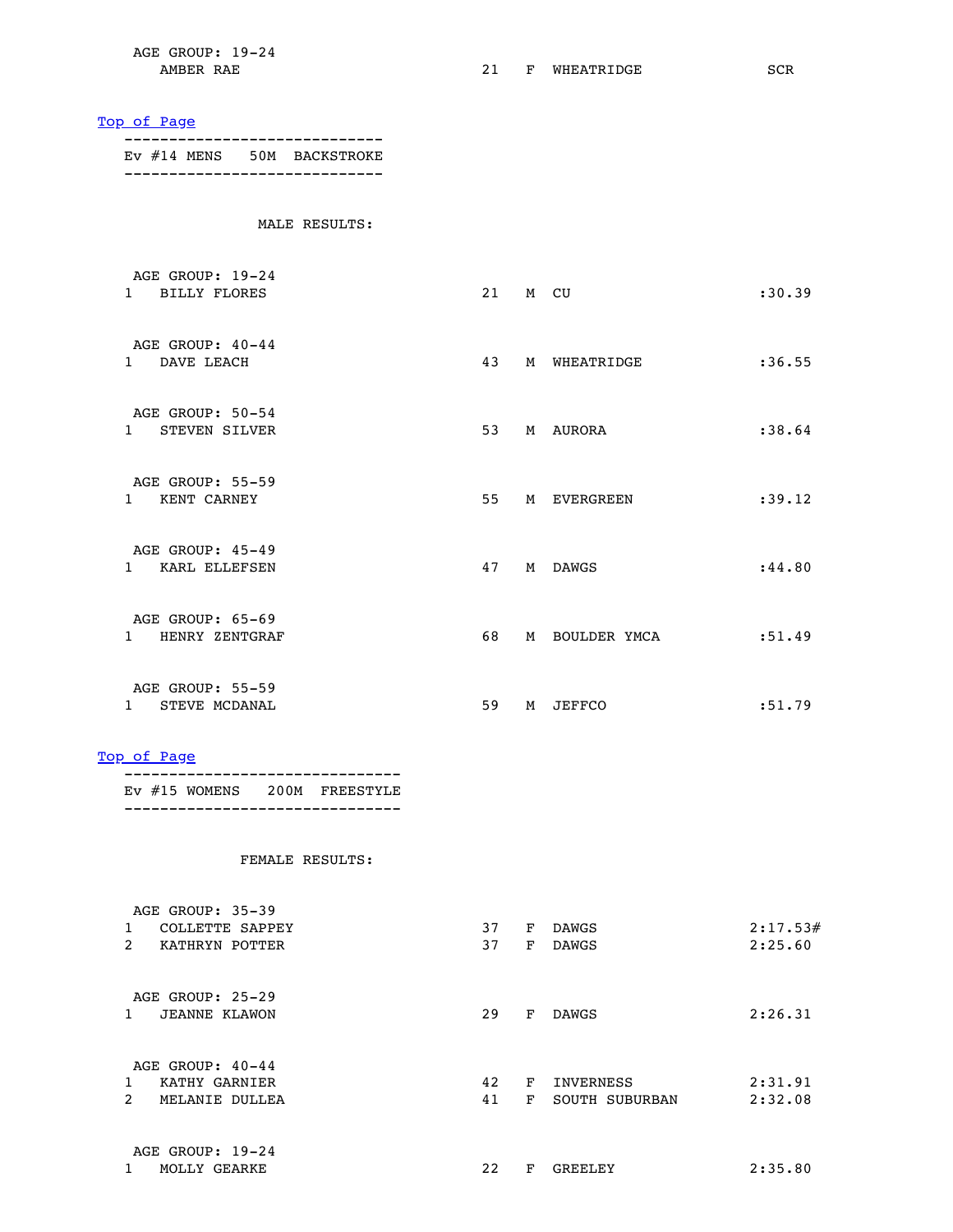AGE GROUP: 19-24

AMBER RAE 21 F WHEATRIDGE SCR

### [Top of Page](#page-0-1)

 ----------------------------- Ev #14 MENS 50M BACKSTROKE -----------------------------

### MALE RESULTS:

| AGE GROUP: 19-24<br><b>BILLY FLORES</b><br>$\mathbf{1}$    | 21 |   | M CU         | :30.39  |
|------------------------------------------------------------|----|---|--------------|---------|
| AGE GROUP: 40-44<br>DAVE LEACH<br>$1 \quad$                | 43 |   | M WHEATRIDGE | :36.55  |
| AGE GROUP: 50-54<br><b>STEVEN SILVER</b><br>$1 \quad \Box$ | 53 |   | M AURORA     | :38.64  |
| AGE GROUP: 55-59<br>$1 \quad$<br>KENT CARNEY               | 55 |   | M EVERGREEN  | : 39.12 |
| AGE GROUP: 45-49<br>KARL ELLEFSEN<br>$\mathbf{1}$          | 47 |   | M DAWGS      | : 44.80 |
| AGE GROUP: 65-69<br>$1 \quad$<br>HENRY ZENTGRAF            | 68 | М | BOULDER YMCA | : 51.49 |
| AGE GROUP: 55-59<br>STEVE MCDANAL<br>$\mathbf{1}$          | 59 | M | JEFFCO       | : 51.79 |

#### [Top of Page](#page-0-1)

 ------------------------------- Ev #15 WOMENS 200M FREESTYLE -------------------------------

| AGE GROUP: 35-39                     |    |    |                |          |
|--------------------------------------|----|----|----------------|----------|
| 1<br>COLLETTE SAPPEY                 | 37 | F  | <b>DAWGS</b>   | 2:17.53# |
| $\mathcal{L}$<br>KATHRYN POTTER      | 37 | F  | <b>DAWGS</b>   | 2:25.60  |
| AGE GROUP: 25-29                     |    |    |                |          |
| $\mathbf{1}$<br><b>JEANNE KLAWON</b> | 29 | F  | DAWGS          | 2:26.31  |
| AGE GROUP: $40-44$                   |    |    |                |          |
| KATHY GARNIER                        | 42 | F  | INVERNESS      | 2:31.91  |
| $\mathcal{L}$<br>MELANIE DULLEA      | 41 | F. | SOUTH SUBURBAN | 2:32.08  |
| AGE GROUP: 19-24                     |    |    |                |          |
| MOLLY GEARKE                         | 22 | F  | GREELEY        | 2:35.80  |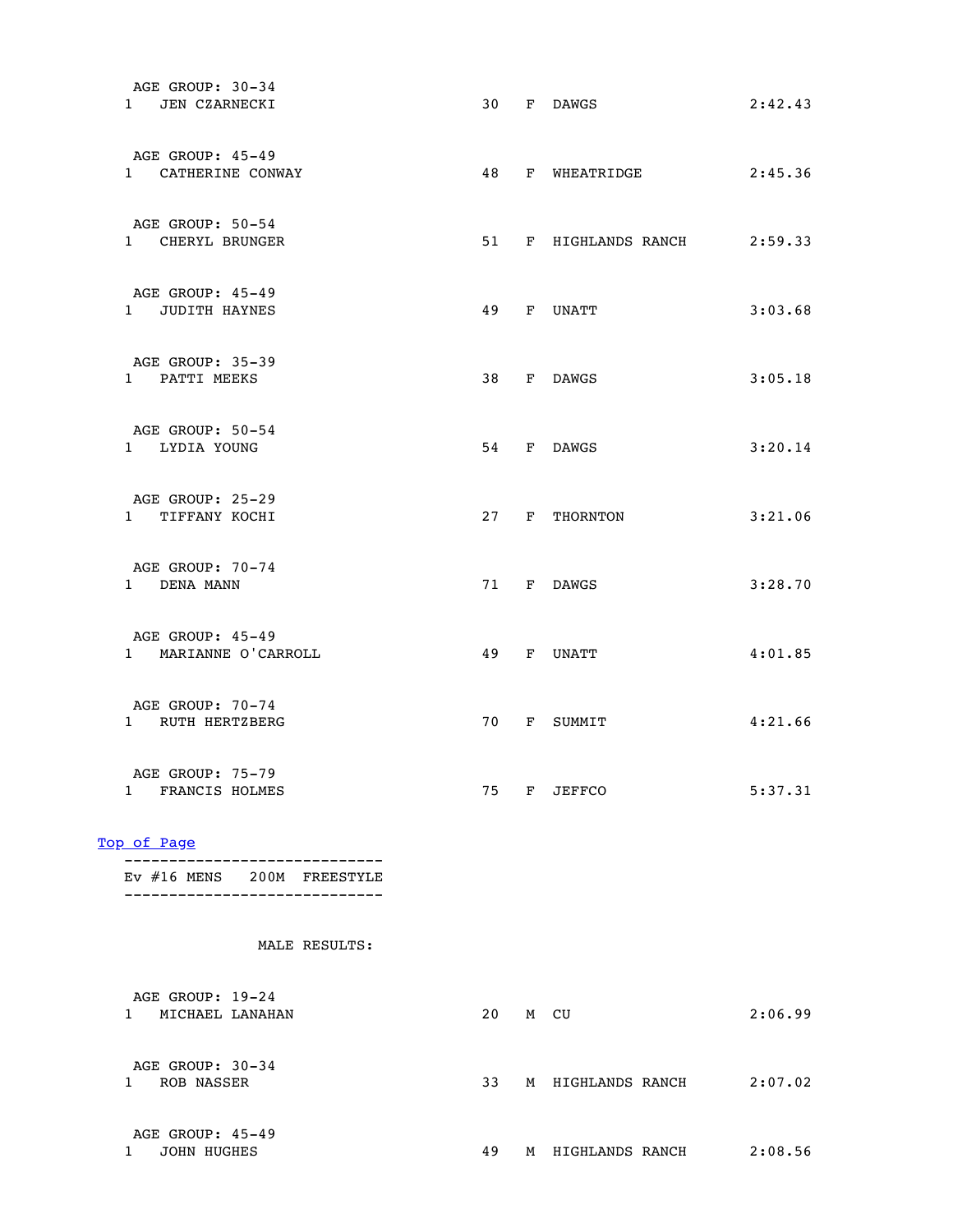|    | F DAWGS | 2:42.43                                                                                                                                                                                      |
|----|---------|----------------------------------------------------------------------------------------------------------------------------------------------------------------------------------------------|
|    |         | 2:45.36                                                                                                                                                                                      |
|    |         | 2:59.33                                                                                                                                                                                      |
|    |         | 3:03.68                                                                                                                                                                                      |
|    |         | 3:05.18                                                                                                                                                                                      |
|    |         | 3:20.14                                                                                                                                                                                      |
|    |         | 3:21.06                                                                                                                                                                                      |
|    |         | 3:28.70                                                                                                                                                                                      |
|    |         | 4:01.85                                                                                                                                                                                      |
|    |         | 4:21.66                                                                                                                                                                                      |
|    |         | 5:37.31                                                                                                                                                                                      |
|    |         |                                                                                                                                                                                              |
|    |         |                                                                                                                                                                                              |
|    |         |                                                                                                                                                                                              |
|    |         | 2:06.99                                                                                                                                                                                      |
| 33 |         | 2:07.02                                                                                                                                                                                      |
|    |         | 48 F WHEATRIDGE<br>51 F HIGHLANDS RANCH<br>49 F UNATT<br>38 F DAWGS<br>54 F DAWGS<br>27 F THORNTON<br>71 F DAWGS<br>49 F UNATT<br>70 F SUMMIT<br>75 F JEFFCO<br>20 M CU<br>M HIGHLANDS RANCH |

| AGE GROUP: 45-49 |   |                 |         |
|------------------|---|-----------------|---------|
| JOHN HUGHES      | м | HIGHLANDS RANCH | 2:08.56 |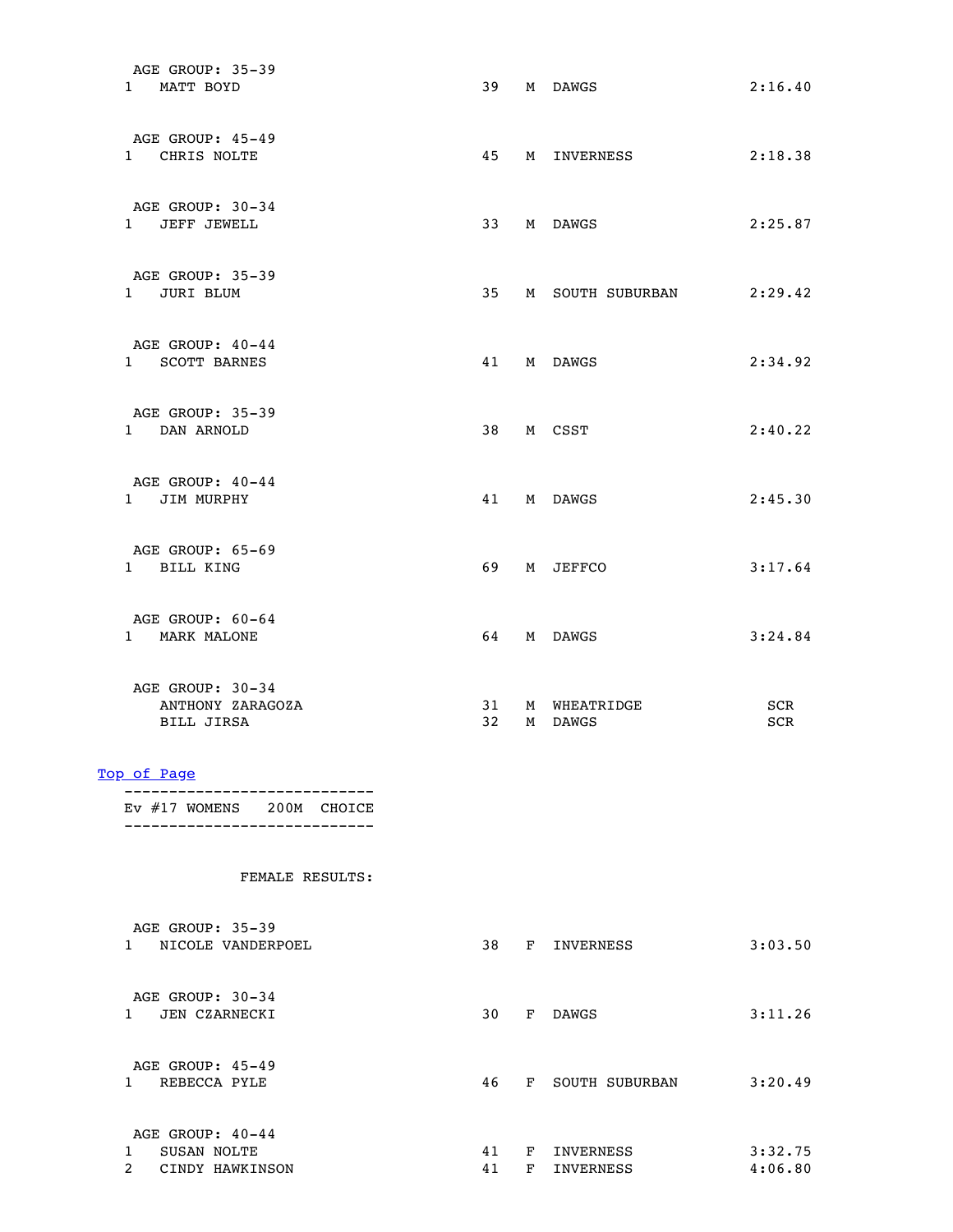| AGE GROUP: 35-39<br>1 MATT BOYD                           |                       | 39 M DAWGS              | 2:16.40    |
|-----------------------------------------------------------|-----------------------|-------------------------|------------|
| AGE GROUP: 45-49<br>1 CHRIS NOLTE                         |                       | 45 M INVERNESS          | 2:18.38    |
| AGE GROUP: 30-34<br>1 JEFF JEWELL                         | 33                    | M DAWGS                 | 2:25.87    |
| AGE GROUP: 35-39<br>1 JURI BLUM                           | 35 <sub>2</sub>       | M SOUTH SUBURBAN        | 2:29.42    |
| AGE GROUP: 40-44<br>1 SCOTT BARNES                        |                       | 41 M DAWGS              | 2:34.92    |
| AGE GROUP: 35-39<br>1 DAN ARNOLD                          |                       | 38 M CSST               | 2:40.22    |
| AGE GROUP: 40-44<br>1 JIM MURPHY                          | 41                    | M DAWGS                 | 2:45.30    |
| AGE GROUP: 65-69<br>1 BILL KING                           | 69                    | M JEFFCO                | 3:17.64    |
| AGE GROUP: 60-64<br>1 MARK MALONE                         | 64                    | M DAWGS                 | 3:24.84    |
| AGE GROUP: 30-34<br>ANTHONY ZARAGOZA<br><b>BILL JIRSA</b> | 31<br>32 <sup>2</sup> | M WHEATRIDGE<br>M DAWGS | SCR<br>SCR |

 ---------------------------- Ev #17 WOMENS 200M CHOICE ----------------------------

| AGE GROUP: 35-39<br>NICOLE VANDERPOEL<br>1                             | 38       | F      | INVERNESS              | 3:03.50            |
|------------------------------------------------------------------------|----------|--------|------------------------|--------------------|
| AGE GROUP: 30-34<br><b>JEN CZARNECKI</b><br>1                          | 30       | F      | <b>DAWGS</b>           | 3:11.26            |
| AGE GROUP: 45-49<br>REBECCA PYLE<br>1.                                 | 46       | F      | SOUTH SUBURBAN         | 3:20.49            |
| AGE GROUP: $40-44$<br>SUSAN NOLTE<br>$\overline{a}$<br>CINDY HAWKINSON | 41<br>41 | F<br>F | INVERNESS<br>INVERNESS | 3:32.75<br>4:06.80 |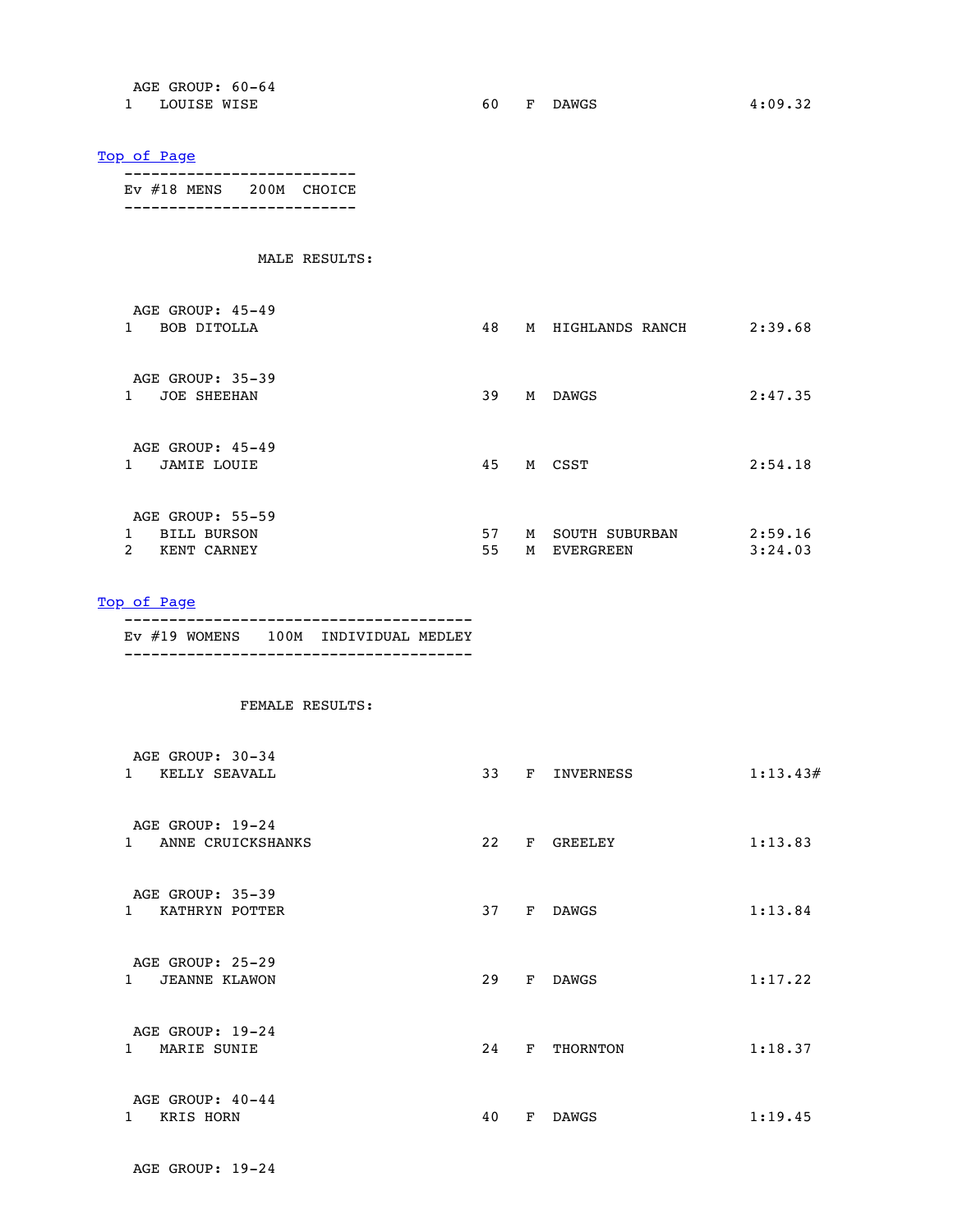| AGE GROUP: 60-64 |                               |         |
|------------------|-------------------------------|---------|
| LOUISE WISE      | <b>DAWGS</b><br>- F -<br>60 - | 4:09.32 |

 -------------------------- Ev #18 MENS 200M CHOICE --------------------------

### MALE RESULTS:

| AGE GROUP: $45-49$<br><b>BOB DITOLLA</b><br>1              | 48<br>2:39.68<br>М<br>HIGHLANDS RANCH                                   |
|------------------------------------------------------------|-------------------------------------------------------------------------|
| AGE GROUP: 35-39<br><b>JOE SHEEHAN</b><br>1                | 2:47.35<br>39<br>М<br>DAWGS                                             |
| AGE GROUP: 45-49<br><b>JAMIE LOUIE</b><br>1.               | 45<br>M CSST<br>2:54.18                                                 |
| AGE GROUP: 55-59<br><b>BILL BURSON</b><br>2<br>KENT CARNEY | 57<br>2:59.16<br>М<br>SOUTH SUBURBAN<br>55<br>3:24.03<br>M<br>EVERGREEN |

[Top of Page](#page-0-1)

| EV #19 WOMENS 100M INDIVIDUAL MEDLEY |  |  |  |
|--------------------------------------|--|--|--|
|                                      |  |  |  |

| AGE GROUP: 30-34<br>KELLY SEAVALL<br>$\mathbf{1}$        | 33 | $\mathbf{F}$ | INVERNESS      | 1:13.43# |
|----------------------------------------------------------|----|--------------|----------------|----------|
| AGE GROUP: 19-24<br>$\mathbf{1}$<br>ANNE CRUICKSHANKS    | 22 | $\mathbf{F}$ | <b>GREELEY</b> | 1:13.83  |
| AGE GROUP: 35-39<br>KATHRYN POTTER<br>$\mathbf{1}$       | 37 | $\mathbf{F}$ | <b>DAWGS</b>   | 1:13.84  |
| AGE GROUP: 25-29<br>$\mathbf{1}$<br><b>JEANNE KLAWON</b> | 29 | F            | DAWGS          | 1:17.22  |
| AGE GROUP: 19-24<br>MARIE SUNIE<br>$\mathbf{1}$          | 24 | $\mathbf{F}$ | THORNTON       | 1:18.37  |
| AGE GROUP: 40-44<br>KRIS HORN                            | 40 | F            | <b>DAWGS</b>   | 1:19.45  |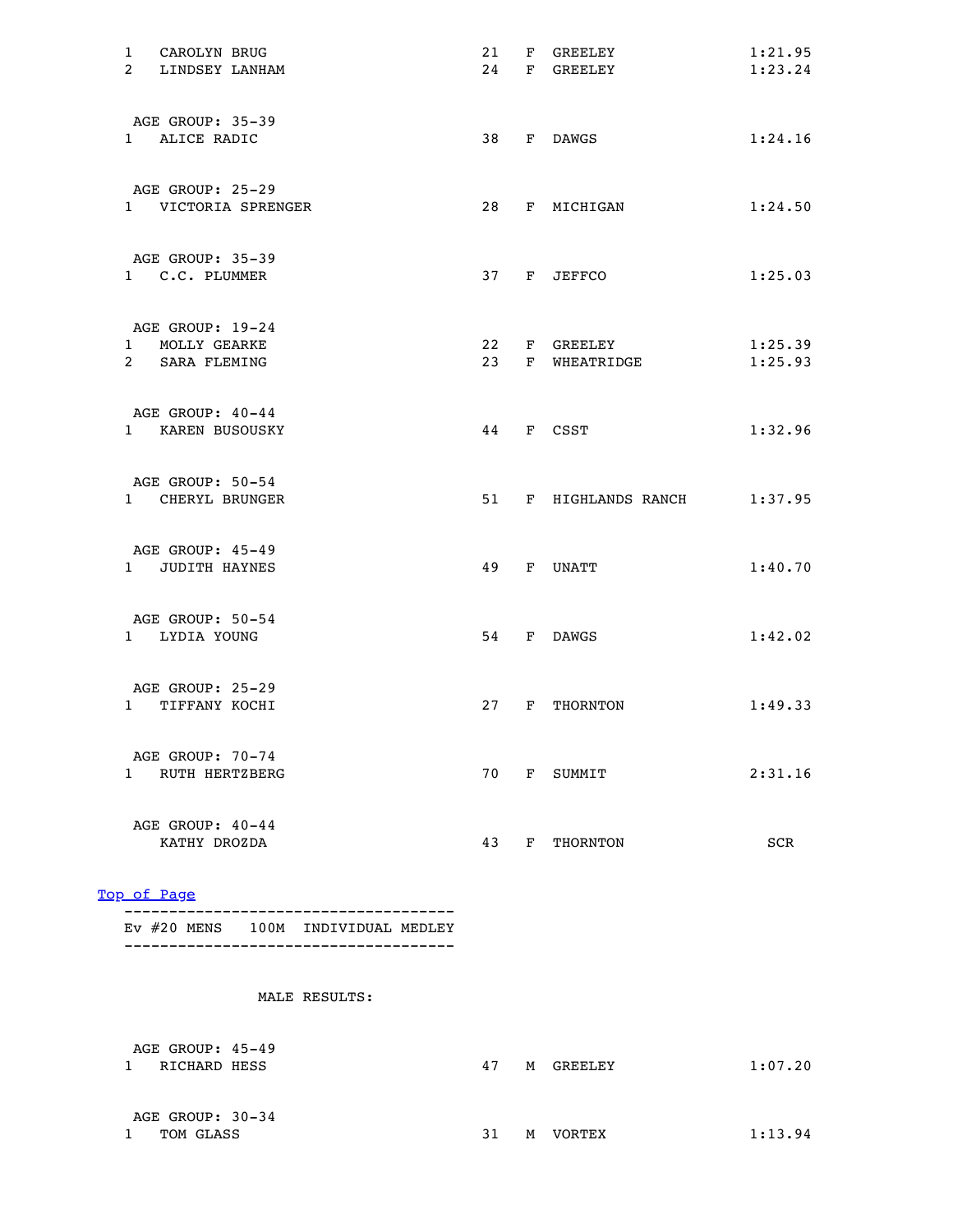| 1 | CAROLYN BRUG                      |                     | 21 |   | F GREELEY            | 1:21.95 |
|---|-----------------------------------|---------------------|----|---|----------------------|---------|
|   | 2 LINDSEY LANHAM                  |                     | 24 |   | F GREELEY            | 1:23.24 |
|   |                                   |                     |    |   |                      |         |
|   |                                   |                     |    |   |                      |         |
|   | AGE GROUP: 35-39<br>1 ALICE RADIC |                     | 38 |   | F DAWGS              | 1:24.16 |
|   |                                   |                     |    |   |                      |         |
|   |                                   |                     |    |   |                      |         |
|   | AGE GROUP: 25-29                  |                     |    |   |                      |         |
|   |                                   | 1 VICTORIA SPRENGER |    |   | 28 F MICHIGAN        | 1:24.50 |
|   |                                   |                     |    |   |                      |         |
|   |                                   |                     |    |   |                      |         |
|   | AGE GROUP: 35-39                  |                     |    |   |                      |         |
|   | 1 C.C. PLUMMER                    |                     |    |   | 37 F JEFFCO          | 1:25.03 |
|   |                                   |                     |    |   |                      |         |
|   | AGE GROUP: 19-24                  |                     |    |   |                      |         |
|   | 1 MOLLY GEARKE                    |                     |    |   | 22 F GREELEY         | 1:25.39 |
|   | 2 SARA FLEMING                    |                     |    |   | 23 F WHEATRIDGE      | 1:25.93 |
|   |                                   |                     |    |   |                      |         |
|   |                                   |                     |    |   |                      |         |
|   | AGE GROUP: 40-44                  |                     |    |   |                      |         |
|   | 1 KAREN BUSOUSKY                  |                     |    |   | 44 F CSST            | 1:32.96 |
|   |                                   |                     |    |   |                      |         |
|   | AGE GROUP: 50-54                  |                     |    |   |                      |         |
|   | 1 CHERYL BRUNGER                  |                     |    |   | 51 F HIGHLANDS RANCH | 1:37.95 |
|   |                                   |                     |    |   |                      |         |
|   |                                   |                     |    |   |                      |         |
|   | AGE GROUP: 45-49                  |                     |    |   |                      |         |
|   | 1 JUDITH HAYNES                   |                     | 49 |   | F UNATT              | 1:40.70 |
|   |                                   |                     |    |   |                      |         |
|   | AGE GROUP: 50-54                  |                     |    |   |                      |         |
|   | 1 LYDIA YOUNG                     |                     |    |   | 54 F DAWGS           | 1:42.02 |
|   |                                   |                     |    |   |                      |         |
|   |                                   |                     |    |   |                      |         |
|   | AGE GROUP: 25-29                  |                     |    |   |                      |         |
|   | 1 TIFFANY KOCHI                   |                     |    |   | 27 F THORNTON        | 1:49.33 |
|   |                                   |                     |    |   |                      |         |
|   | AGE GROUP: 70-74                  |                     |    |   |                      |         |
|   | 1 RUTH HERTZBERG                  |                     | 70 |   | F SUMMIT             | 2:31.16 |
|   |                                   |                     |    |   |                      |         |
|   |                                   |                     |    |   |                      |         |
|   | AGE GROUP: 40-44                  |                     |    |   |                      |         |
|   | KATHY DROZDA                      |                     | 43 | F | THORNTON             | SCR     |
|   |                                   |                     |    |   |                      |         |

 ------------------------------------- Ev #20 MENS 100M INDIVIDUAL MEDLEY -------------------------------------

| AGE GROUP: 45-49<br>RICHARD HESS | 47 | M | GREELEY       | 1:07.20 |
|----------------------------------|----|---|---------------|---------|
| AGE GROUP: 30-34<br>TOM GLASS    | 31 | М | <b>VORTEX</b> | 1:13.94 |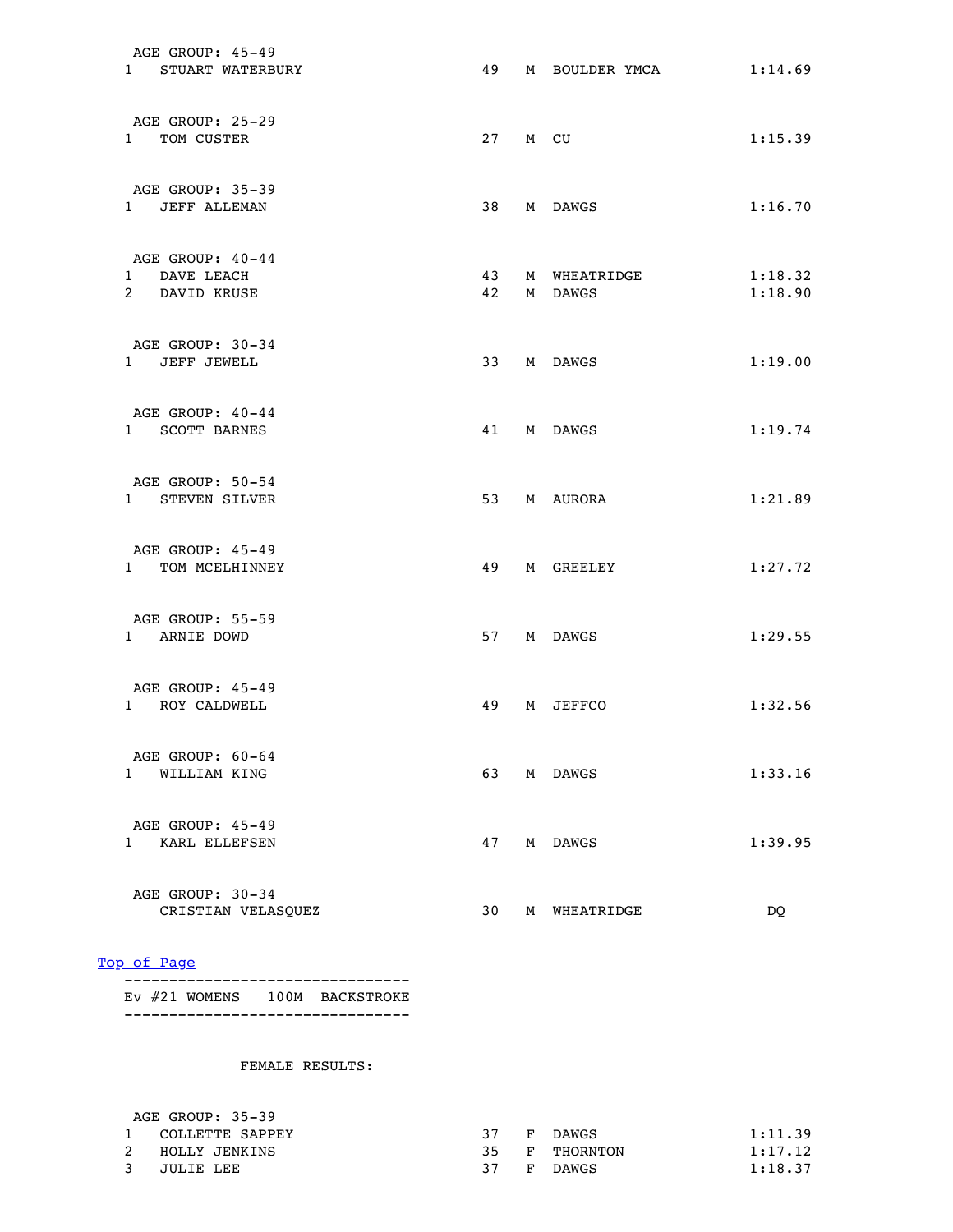| AGE GROUP: 45-49<br>1 STUART WATERBURY            | 49 |   | M BOULDER YMCA             | 1:14.69            |
|---------------------------------------------------|----|---|----------------------------|--------------------|
| AGE GROUP: 25-29<br>1 TOM CUSTER                  |    |   | 27 M CU                    | 1:15.39            |
| AGE GROUP: 35-39<br>1 JEFF ALLEMAN                |    |   | 38 M DAWGS                 | 1:16.70            |
| AGE GROUP: 40-44<br>1 DAVE LEACH<br>2 DAVID KRUSE | 42 |   | 43 M WHEATRIDGE<br>M DAWGS | 1:18.32<br>1:18.90 |
| AGE GROUP: 30-34<br>1 JEFF JEWELL                 |    |   | 33 M DAWGS                 | 1:19.00            |
| AGE GROUP: 40-44<br>1 SCOTT BARNES                |    |   | 41 M DAWGS                 | 1:19.74            |
| AGE GROUP: 50-54<br>1 STEVEN SILVER               |    |   | 53 M AURORA                | 1:21.89            |
| AGE GROUP: 45-49<br>1 TOM MCELHINNEY              | 49 |   | M GREELEY                  | 1:27.72            |
| AGE GROUP: 55-59<br>1 ARNIE DOWD                  |    |   | 57 M DAWGS                 | 1:29.55            |
| AGE GROUP: 45-49<br>1 ROY CALDWELL                | 49 |   | M JEFFCO                   | 1:32.56            |
| AGE GROUP: 60-64<br>1 WILLIAM KING                | 63 |   | M DAWGS                    | 1:33.16            |
| AGE GROUP: 45-49<br>1 KARL ELLEFSEN               | 47 |   | M DAWGS                    | 1:39.95            |
| AGE GROUP: 30-34<br>CRISTIAN VELASQUEZ            | 30 | M | WHEATRIDGE                 | DQ                 |

 -------------------------------- Ev #21 WOMENS 100M BACKSTROKE --------------------------------

| AGE GROUP: 35-39 |    |    |          |         |
|------------------|----|----|----------|---------|
| COLLETTE SAPPEY  | 37 | F. | DAWGS    | 1:11.39 |
| HOLLY JENKINS    | 35 | F. | THORNTON | 1:17.12 |
| JULIE LEE        | 37 | F. | DAWGS    | 1:18.37 |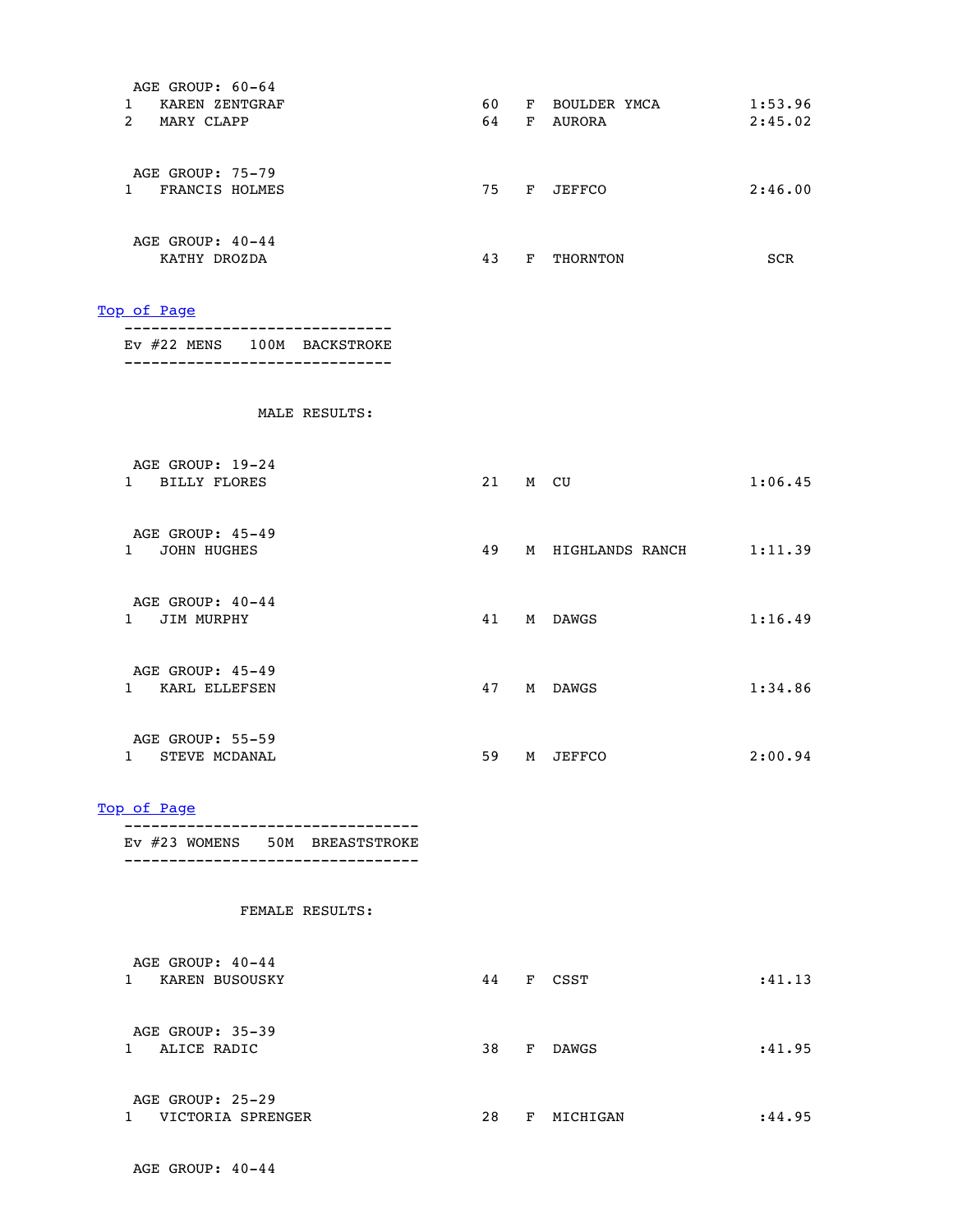| AGE GROUP: 60-64<br>1 KAREN ZENTGRAF<br>2 MARY CLAPP           |  | 60 F BOULDER YMCA<br>64 F AURORA | 1:53.96<br>2:45.02 |
|----------------------------------------------------------------|--|----------------------------------|--------------------|
| AGE GROUP: 75-79<br>1 FRANCIS HOLMES                           |  | 75 F JEFFCO                      | 2:46.00            |
| AGE GROUP: 40-44<br>KATHY DROZDA                               |  | 43 F THORNTON                    | SCR                |
| Top of Page<br>-------------------------                       |  |                                  |                    |
| Ev #22 MENS 100M BACKSTROKE<br>------------------------------- |  |                                  |                    |
| MALE RESULTS:                                                  |  |                                  |                    |
| AGE GROUP: 19-24<br>1 BILLY FLORES                             |  | 21 M CU                          | 1:06.45            |
| AGE GROUP: 45-49<br>1 JOHN HUGHES                              |  | 49 M HIGHLANDS RANCH             | 1:11.39            |
| AGE GROUP: 40-44<br>1 JIM MURPHY                               |  | 41 M DAWGS                       | 1:16.49            |
| AGE GROUP: 45-49<br>1 KARL ELLEFSEN                            |  | 47 M DAWGS                       | 1:34.86            |
| AGE GROUP: 55-59<br>1 STEVE MCDANAL                            |  | 59 M JEFFCO                      | 2:00.94            |
| Top of Page                                                    |  |                                  |                    |

---------------------------------

| AGE GROUP: 40-44<br>KAREN BUSOUSKY    | 44 | F | CSST         | :41.13  |
|---------------------------------------|----|---|--------------|---------|
| AGE GROUP: 35-39<br>ALICE RADIC       | 38 | F | <b>DAWGS</b> | :41.95  |
| AGE GROUP: 25-29<br>VICTORIA SPRENGER | 28 | F | MICHIGAN     | : 44.95 |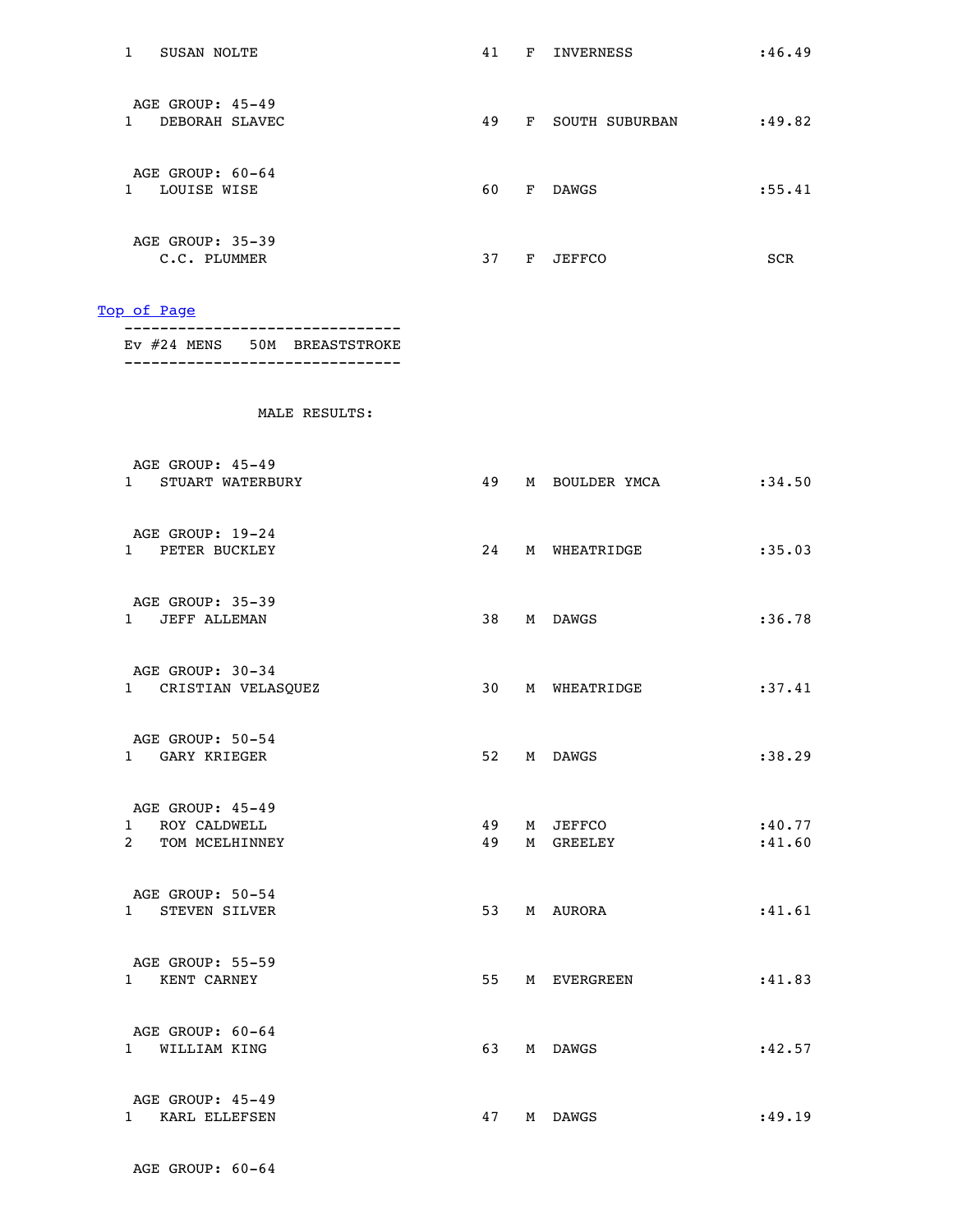| SUSAN NOLTE<br>T                        | 41 | F | INVERNESS      | : 46.49    |
|-----------------------------------------|----|---|----------------|------------|
| AGE GROUP: 45-49<br>DEBORAH SLAVEC<br>ı | 49 | F | SOUTH SUBURBAN | :49.82     |
| AGE GROUP: 60-64<br>LOUISE WISE<br>1    | 60 | F | <b>DAWGS</b>   | : 55.41    |
| AGE GROUP: 35-39<br>C.C. PLUMMER        | 37 | F | <b>JEFFCO</b>  | <b>SCR</b> |

 ------------------------------- Ev #24 MENS 50M BREASTSTROKE -------------------------------

| AGE GROUP: 45-49<br>1 STUART WATERBURY                 | 49       | M BOULDER YMCA        | : 34.50          |
|--------------------------------------------------------|----------|-----------------------|------------------|
| AGE GROUP: 19-24<br>1 PETER BUCKLEY                    | 24       | M WHEATRIDGE          | :35.03           |
| AGE GROUP: 35-39<br>1 JEFF ALLEMAN                     | 38       | M DAWGS               | : 36.78          |
| AGE GROUP: 30-34<br>1 CRISTIAN VELASQUEZ               | 30       | M WHEATRIDGE          | :37.41           |
| AGE GROUP: 50-54<br>1 GARY KRIEGER                     |          | 52 M DAWGS            | :38.29           |
| AGE GROUP: 45-49<br>1 ROY CALDWELL<br>2 TOM MCELHINNEY | 49<br>49 | M JEFFCO<br>M GREELEY | :40.77<br>:41.60 |
| AGE GROUP: 50-54<br>1 STEVEN SILVER                    | 53       | M AURORA              | :41.61           |
| AGE GROUP: 55-59<br>1 KENT CARNEY                      | 55       | M EVERGREEN           | : 41.83          |
| AGE GROUP: 60-64<br>1 WILLIAM KING                     | 63       | M DAWGS               | :42.57           |
| AGE GROUP: 45-49<br>1 KARL ELLEFSEN                    |          | 47 M DAWGS            | :49.19           |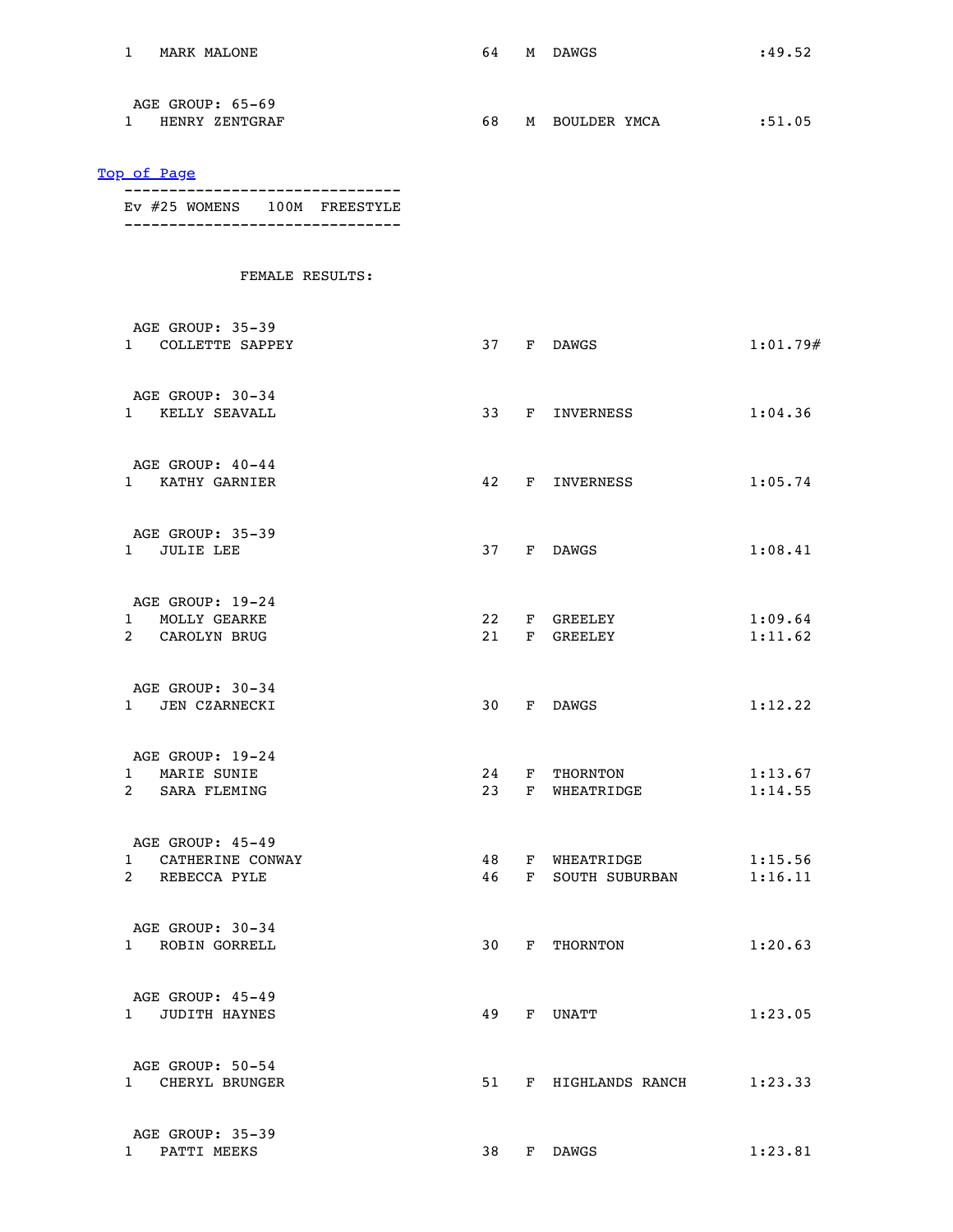| 1 MARK MALONE                                                    |          |   | 64 M DAWGS                   | :49.52             |
|------------------------------------------------------------------|----------|---|------------------------------|--------------------|
| AGE GROUP: 65-69<br>1 HENRY ZENTGRAF                             |          |   | 68 M BOULDER YMCA :51.05     |                    |
| Top of Page                                                      |          |   |                              |                    |
| Ev #25 WOMENS 100M FREESTYLE<br>-------------------------------- |          |   |                              |                    |
| FEMALE RESULTS:                                                  |          |   |                              |                    |
| AGE GROUP: 35-39                                                 |          |   |                              |                    |
| 1 COLLETTE SAPPEY                                                |          |   | 37 F DAWGS                   | 1:01.79#           |
| AGE GROUP: 30-34<br>1 KELLY SEAVALL                              |          |   | 33 F INVERNESS               | 1:04.36            |
| AGE GROUP: 40-44<br>1 KATHY GARNIER                              |          |   | 42 F INVERNESS               | 1:05.74            |
| AGE GROUP: 35-39<br>1 JULIE LEE                                  |          |   | 37 F DAWGS                   | 1:08.41            |
| AGE GROUP: 19-24                                                 |          |   |                              |                    |
| 1 MOLLY GEARKE<br>2 CAROLYN BRUG                                 |          |   | 22 F GREELEY<br>21 F GREELEY | 1:09.64<br>1:11.62 |
| AGE GROUP: 30-34<br>1 JEN CZARNECKI                              |          |   | 30 F DAWGS                   | 1:12.22            |
| AGE GROUP: 19-24                                                 |          |   |                              |                    |
| $\mathbf{1}$<br>MARIE SUNIE<br>2 SARA FLEMING                    | 24<br>23 | F | THORNTON<br>F WHEATRIDGE     | 1:13.67<br>1:14.55 |
| AGE GROUP: 45-49<br>1 CATHERINE CONWAY                           | 48       |   | F WHEATRIDGE                 | 1:15.56            |
| 2 REBECCA PYLE                                                   | 46       | F | SOUTH SUBURBAN               | 1:16.11            |
| AGE GROUP: 30-34<br>1 ROBIN GORRELL                              | 30       | F | THORNTON                     | 1:20.63            |
| AGE GROUP: 45-49<br>1 JUDITH HAYNES                              | 49       |   | F UNATT                      | 1:23.05            |
| AGE GROUP: 50-54<br>1 CHERYL BRUNGER                             | 51       | F | HIGHLANDS RANCH              | 1:23.33            |
| AGE GROUP: 35-39<br>1 PATTI MEEKS                                | 38       |   | F DAWGS                      | 1:23.81            |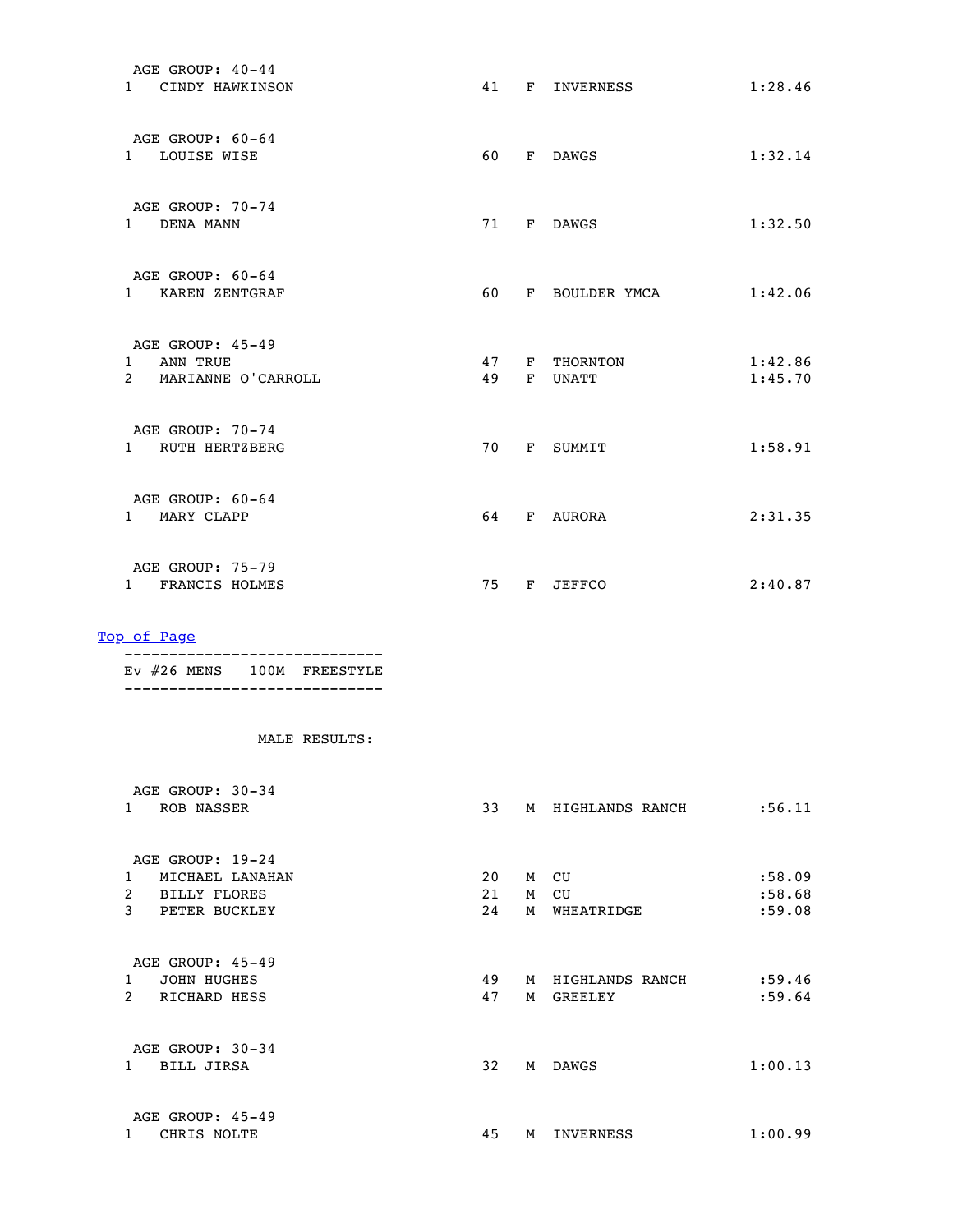| AGE GROUP: 40-44<br>1 CINDY HAWKINSON                             |          |              | 41 F INVERNESS      | 1:28.46            |
|-------------------------------------------------------------------|----------|--------------|---------------------|--------------------|
| AGE GROUP: 60-64<br>1 LOUISE WISE                                 | 60       |              | F DAWGS             | 1:32.14            |
| AGE GROUP: 70-74<br>1 DENA MANN                                   |          |              | 71 F DAWGS          | 1:32.50            |
| AGE GROUP: 60-64<br>1 KAREN ZENTGRAF                              | 60       |              | F BOULDER YMCA      | 1:42.06            |
| AGE GROUP: 45-49<br>ANN TRUE<br>$1 \quad$<br>2 MARIANNE O'CARROLL | 47<br>49 | F            | THORNTON<br>F UNATT | 1:42.86<br>1:45.70 |
| AGE GROUP: 70-74<br>1 RUTH HERTZBERG                              | 70       |              | F SUMMIT            | 1:58.91            |
| AGE GROUP: 60-64<br>1 MARY CLAPP                                  | 64       | $\mathbf{F}$ | AURORA              | 2:31.35            |
| AGE GROUP: 75-79<br>1 FRANCIS HOLMES                              | 75       | F            | JEFFCO              | 2:40.87            |

 ----------------------------- Ev #26 MENS 100M FREESTYLE -----------------------------

| AGE GROUP: 30-34<br><b>ROB NASSER</b><br>1                                               | 33       | M      | HIGHLANDS RANCH                   | : 56.11           |
|------------------------------------------------------------------------------------------|----------|--------|-----------------------------------|-------------------|
| AGE GROUP: 19-24<br>MICHAEL LANAHAN<br>1                                                 | 20       | M      | CU                                | :58.09            |
| $\overline{2}$<br><b>BILLY FLORES</b><br>3<br>PETER BUCKLEY                              | 21<br>24 | M<br>M | CU<br>WHEATRIDGE                  | :58.68<br>:59.08  |
| AGE GROUP: 45-49<br><b>JOHN HUGHES</b><br>$\mathbf{1}$<br>$\overline{2}$<br>RICHARD HESS | 49<br>47 | M<br>М | HIGHLANDS RANCH<br><b>GREELEY</b> | : 59.46<br>:59.64 |
| AGE GROUP: 30-34<br>BILL JIRSA<br>$\mathbf{1}$                                           | 32       | М      | <b>DAWGS</b>                      | 1:00.13           |
| AGE GROUP: 45-49<br>CHRIS NOLTE                                                          | 45       | М      | INVERNESS                         | 1:00.99           |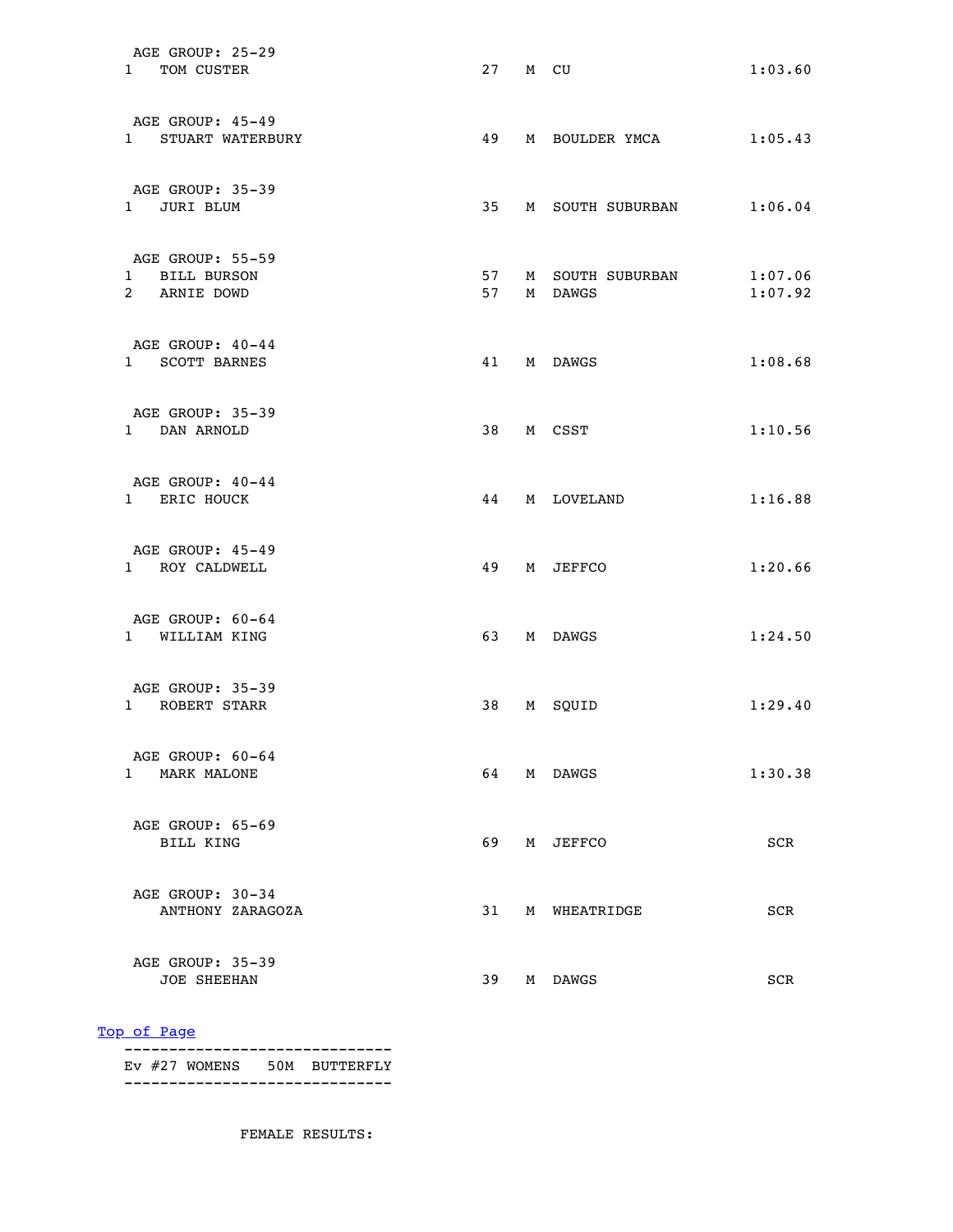| AGE GROUP: 25-29<br>1 TOM CUSTER                  | 27         | M CU                        | 1:03.60            |
|---------------------------------------------------|------------|-----------------------------|--------------------|
| AGE GROUP: 45-49<br>1 STUART WATERBURY            | 49         | M BOULDER YMCA              | 1:05.43            |
| AGE GROUP: 35-39<br>1 JURI BLUM                   | 35         | M SOUTH SUBURBAN            | 1:06.04            |
| AGE GROUP: 55-59<br>1 BILL BURSON<br>2 ARNIE DOWD | 57 —<br>57 | M SOUTH SUBURBAN<br>M DAWGS | 1:07.06<br>1:07.92 |
| AGE GROUP: 40-44<br>1 SCOTT BARNES                |            | 41 M DAWGS                  | 1:08.68            |
| AGE GROUP: 35-39<br>1 DAN ARNOLD                  |            | 38 M CSST                   | 1:10.56            |
| AGE GROUP: 40-44<br>1 ERIC HOUCK                  | 44         | M LOVELAND                  | 1:16.88            |
| AGE GROUP: 45-49<br>1 ROY CALDWELL                | 49         | M JEFFCO                    | 1:20.66            |
| AGE GROUP: 60-64<br>1 WILLIAM KING                | 63         | M DAWGS                     | 1:24.50            |
| AGE GROUP: 35-39<br>1 ROBERT STARR                | 38         | M SOUID                     | 1:29.40            |
| AGE GROUP: 60-64<br>1 MARK MALONE                 | 64         | M DAWGS                     | 1:30.38            |
| AGE GROUP: 65-69<br>BILL KING                     | 69         | M JEFFCO                    | SCR                |
| AGE GROUP: 30-34<br>ANTHONY ZARAGOZA              | 31         | M WHEATRIDGE                | SCR                |
| AGE GROUP: 35-39<br><b>JOE SHEEHAN</b>            | 39         | M DAWGS                     | SCR                |

 ------------------------------ Ev #27 WOMENS 50M BUTTERFLY ------------------------------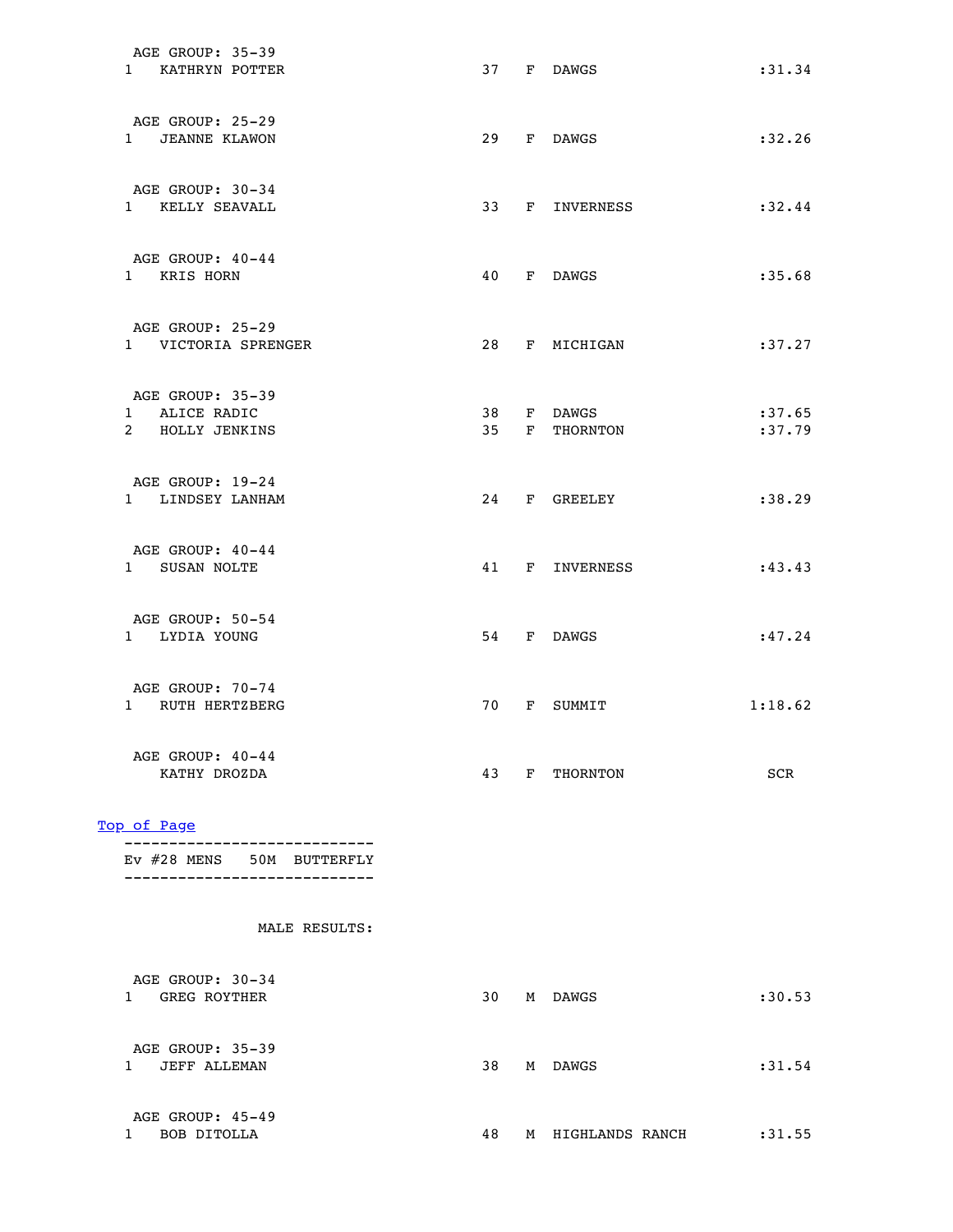| AGE GROUP: 35-39<br>1 KATHRYN POTTER                 |  | 37 F DAWGS                  | : 31.34          |
|------------------------------------------------------|--|-----------------------------|------------------|
| AGE GROUP: 25-29<br>1 JEANNE KLAWON                  |  | 29 F DAWGS                  | : 32.26          |
| AGE GROUP: 30-34<br>1 KELLY SEAVALL                  |  | 33 F INVERNESS              | : 32.44          |
| AGE GROUP: 40-44<br>1 KRIS HORN                      |  | 40 F DAWGS                  | : 35.68          |
| AGE GROUP: 25-29<br>1 VICTORIA SPRENGER              |  | 28 F MICHIGAN               | :37.27           |
| AGE GROUP: 35-39<br>1 ALICE RADIC<br>2 HOLLY JENKINS |  | 38 F DAWGS<br>35 F THORNTON | :37.65<br>:37.79 |
| AGE GROUP: 19-24<br>1 LINDSEY LANHAM                 |  | 24 F GREELEY                | : 38.29          |
| AGE GROUP: 40-44<br>1 SUSAN NOLTE                    |  | 41 F INVERNESS              | : 43.43          |
| AGE GROUP: 50-54<br>1 LYDIA YOUNG                    |  | 54 F DAWGS                  | :47.24           |
| AGE GROUP: 70-74<br>1 RUTH HERTZBERG                 |  | 70 F SUMMIT                 | 1:18.62          |
| AGE GROUP: 40-44<br>KATHY DROZDA                     |  | 43 F THORNTON               | SCR              |

|  |  | $EV$ #28 MENS 50M BUTTERFLY |
|--|--|-----------------------------|
|  |  |                             |

| AGE GROUP: 30-34<br><b>GREG ROYTHER</b> | 30 | М | DAWGS           | :30.53  |
|-----------------------------------------|----|---|-----------------|---------|
| AGE GROUP: 35-39<br><b>JEFF ALLEMAN</b> | 38 | М | <b>DAWGS</b>    | : 31.54 |
| AGE GROUP: 45-49<br>BOB DITOLLA         | 48 | M | HIGHLANDS RANCH | :31.55  |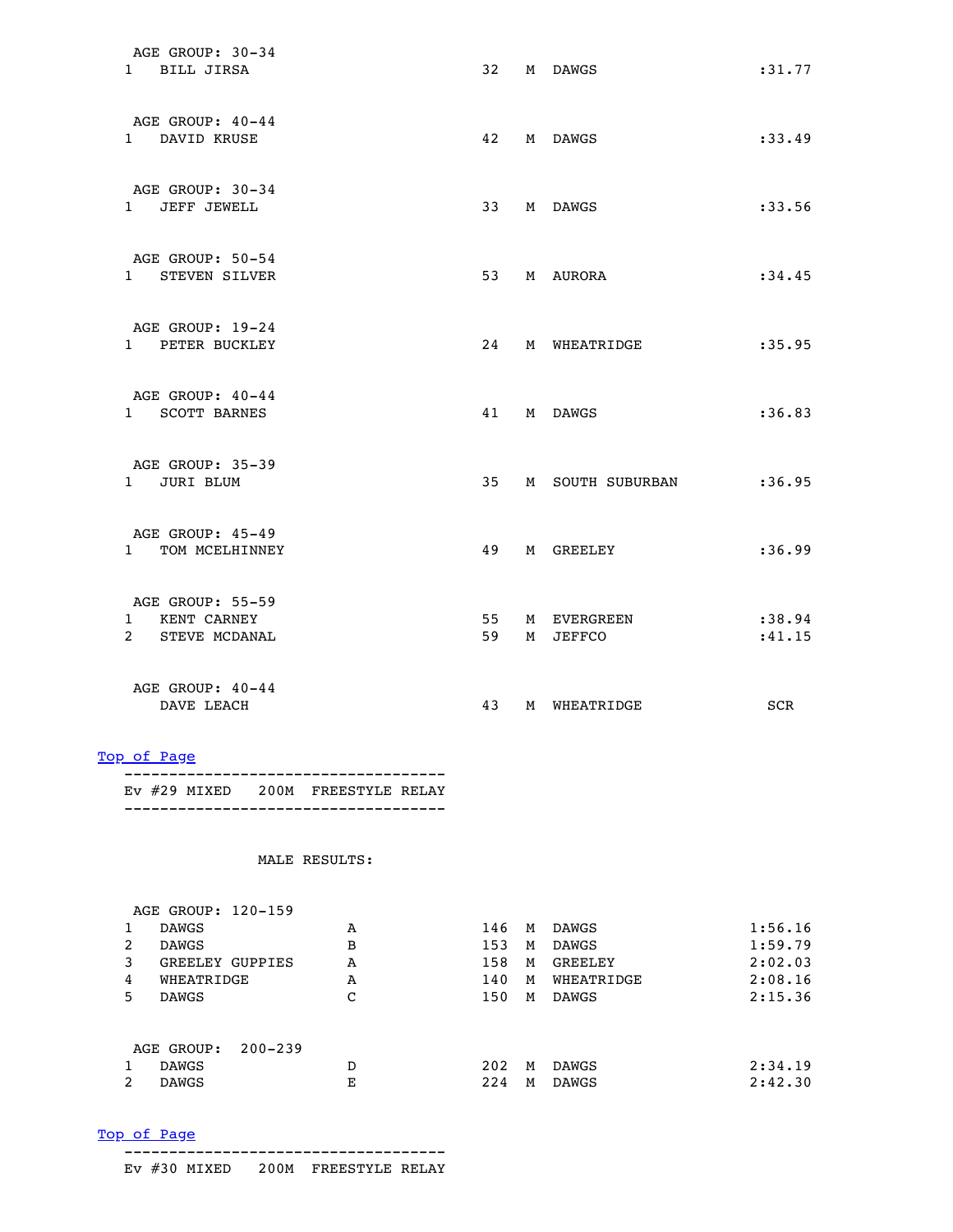| AGE GROUP: 30-34<br>1 BILL JIRSA                     | 32       | M DAWGS                 | : 31.77           |
|------------------------------------------------------|----------|-------------------------|-------------------|
| AGE GROUP: $40-44$<br>1 DAVID KRUSE                  | 42       | M DAWGS                 | :33.49            |
| AGE GROUP: 30-34<br>1 JEFF JEWELL                    | 33       | M DAWGS                 | :33.56            |
| AGE GROUP: 50-54<br>1 STEVEN SILVER                  | 53       | M AURORA                | :34.45            |
| AGE GROUP: 19-24<br>1 PETER BUCKLEY                  |          | 24 M WHEATRIDGE         | :35.95            |
| AGE GROUP: 40-44<br>1 SCOTT BARNES                   |          | 41 M DAWGS              | :36.83            |
| AGE GROUP: 35-39<br>1 JURI BLUM                      | 35       | M SOUTH SUBURBAN        | : 36.95           |
| AGE GROUP: 45-49<br>1 TOM MCELHINNEY                 | 49       | M GREELEY               | :36.99            |
| AGE GROUP: 55-59<br>1 KENT CARNEY<br>2 STEVE MCDANAL | 55<br>59 | M EVERGREEN<br>M JEFFCO | :38.94<br>: 41.15 |
| AGE GROUP: 40-44<br>DAVE LEACH                       | 43       | M WHEATRIDGE            | <b>SCR</b>        |

 ------------------------------------ Ev #29 MIXED 200M FREESTYLE RELAY ------------------------------------

|    | AGE GROUP: 120-159        |   |     |   |              |         |
|----|---------------------------|---|-----|---|--------------|---------|
|    | <b>DAWGS</b>              | Α | 146 | M | DAWGS        | 1:56.16 |
| 2  | <b>DAWGS</b>              | в | 153 | М | <b>DAWGS</b> | 1:59.79 |
| 3  | GREELEY GUPPIES           | A | 158 | М | GREELEY      | 2:02.03 |
| 4  | WHEATRIDGE                | A | 140 | M | WHEATRIDGE   | 2:08.16 |
| 5. | <b>DAWGS</b>              | С | 150 | М | <b>DAWGS</b> | 2:15.36 |
|    |                           |   |     |   |              |         |
|    | $200 - 239$<br>AGE GROUP: |   |     |   |              |         |
|    | <b>DAWGS</b>              | D | 202 | M | <b>DAWGS</b> | 2:34.19 |
| 2  | <b>DAWGS</b>              | Е | 224 | M | <b>DAWGS</b> | 2:42.30 |
|    |                           |   |     |   |              |         |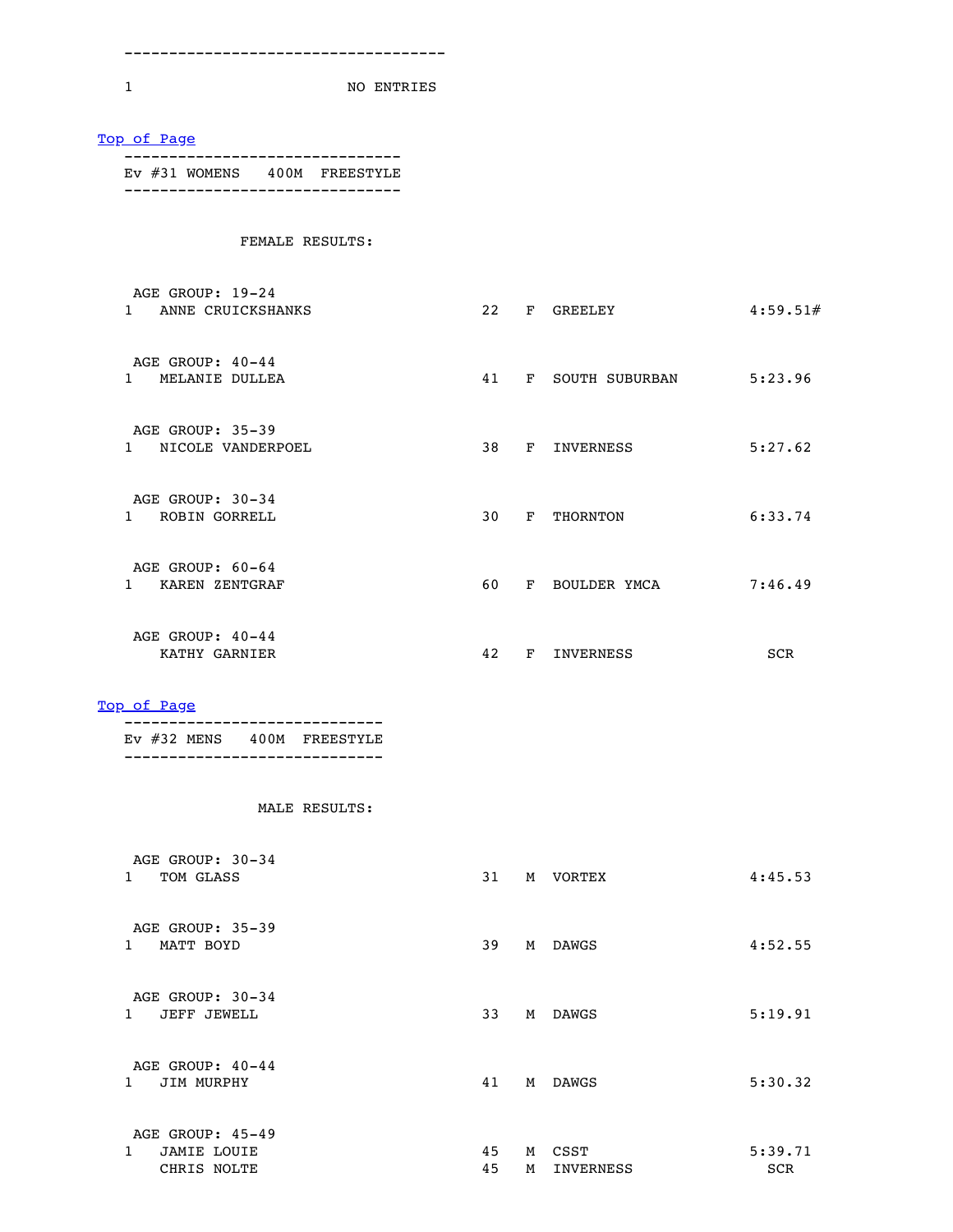------------------------------------

1 NO ENTRIES

| EV #31 WOMENS 400M FREESTYLE<br>------------------------------- |    |                             |          |
|-----------------------------------------------------------------|----|-----------------------------|----------|
|                                                                 |    |                             |          |
| FEMALE RESULTS:                                                 |    |                             |          |
| AGE GROUP: 19-24                                                |    |                             |          |
| 1 ANNE CRUICKSHANKS                                             |    | 22 F GREELEY                | 4:59.51# |
| AGE GROUP: 40-44                                                |    |                             |          |
| 1 MELANIE DULLEA                                                |    | 41 F SOUTH SUBURBAN 5:23.96 |          |
| AGE GROUP: 35-39                                                |    |                             |          |
| 1 NICOLE VANDERPOEL                                             |    | 38 F INVERNESS              | 5:27.62  |
| AGE GROUP: 30-34                                                |    |                             |          |
| 1 ROBIN GORRELL                                                 |    | 30 F THORNTON               | 6:33.74  |
| AGE GROUP: 60-64                                                |    |                             |          |
| 1 KAREN ZENTGRAF                                                | 60 | F BOULDER YMCA              | 7:46.49  |
| AGE GROUP: 40-44                                                |    |                             |          |
| KATHY GARNIER                                                   |    | 42 F INVERNESS              | SCR      |
| Top of Page                                                     |    |                             |          |
| EV #32 MENS 400M FREESTYLE<br>-----------------------------     |    |                             |          |
| MALE RESULTS:                                                   |    |                             |          |
| AGE GROUP: 30-34                                                |    |                             |          |
| 1 TOM GLASS                                                     |    | 31 M VORTEX                 | 4:45.53  |
| AGE GROUP: 35-39                                                |    |                             |          |
| 1 MATT BOYD                                                     | 39 | M DAWGS                     | 4:52.55  |
|                                                                 |    |                             |          |
| AGE GROUP: 30-34                                                |    |                             |          |
| 1 JEFF JEWELL                                                   | 33 | M DAWGS                     | 5:19.91  |
| AGE GROUP: 40-44                                                |    |                             |          |
| 1 JIM MURPHY                                                    | 41 | M DAWGS                     |          |
| AGE GROUP: 45-49                                                |    |                             | 5:30.32  |